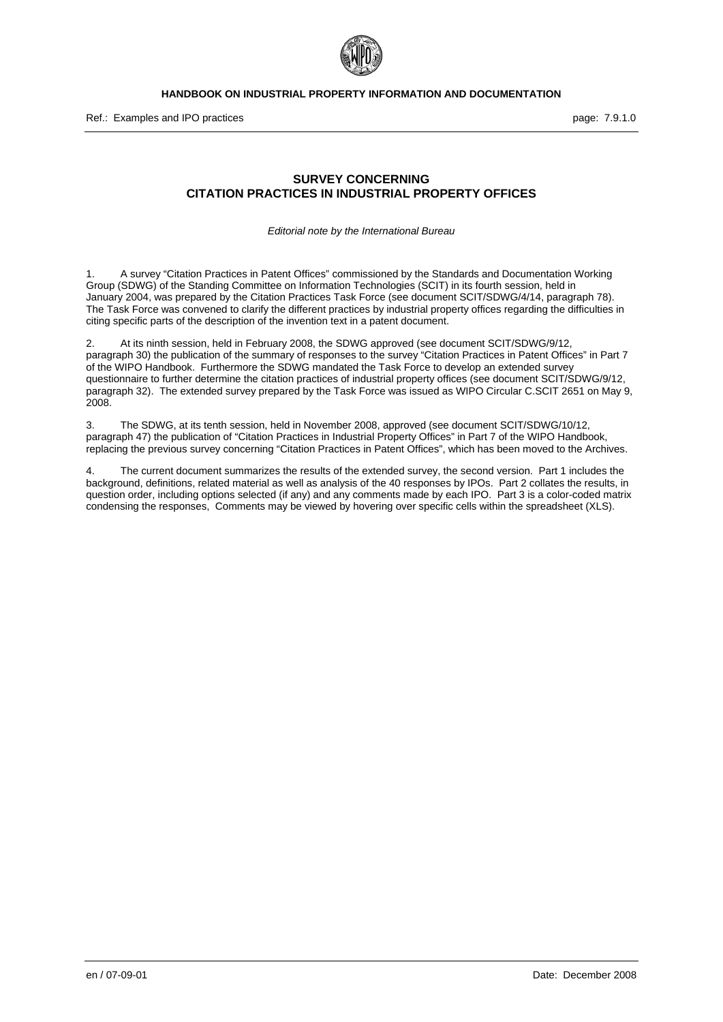

## <span id="page-0-0"></span>**SURVEY CONCERNING CITATION PRACTICES IN INDUSTRIAL PROPERTY OFFICES**

*Editorial note by the International Bureau* 

1. A survey "Citation Practices in Patent Offices" commissioned by the Standards and Documentation Working Group (SDWG) of the Standing Committee on Information Technologies (SCIT) in its fourth session, held in January 2004, was prepared by the Citation Practices Task Force (see document SCIT/SDWG/4/14, paragraph 78). The Task Force was convened to clarify the different practices by industrial property offices regarding the difficulties in citing specific parts of the description of the invention text in a patent document.

2. At its ninth session, held in February 2008, the SDWG approved (see document SCIT/SDWG/9/12, paragraph 30) the publication of the summary of responses to the survey "Citation Practices in Patent Offices" in Part 7 of the WIPO Handbook. Furthermore the SDWG mandated the Task Force to develop an extended survey questionnaire to further determine the citation practices of industrial property offices (see document SCIT/SDWG/9/12, paragraph 32). The extended survey prepared by the Task Force was issued as WIPO Circular C.SCIT 2651 on May 9, 2008.

3. The SDWG, at its tenth session, held in November 2008, approved (see document SCIT/SDWG/10/12, paragraph 47) the publication of "Citation Practices in Industrial Property Offices" in Part 7 of the WIPO Handbook, replacing the previous survey concerning "Citation Practices in Patent Offices", which has been moved to the Archives.

4. The current document summarizes the results of the extended survey, the second version. Part 1 includes the background, definitions, related material as well as analysis of the 40 responses by IPOs. Part 2 collates the results, in question order, including options selected (if any) and any comments made by each IPO. Part 3 is a color-coded matrix condensing the responses, Comments may be viewed by hovering over specific cells within the spreadsheet (XLS).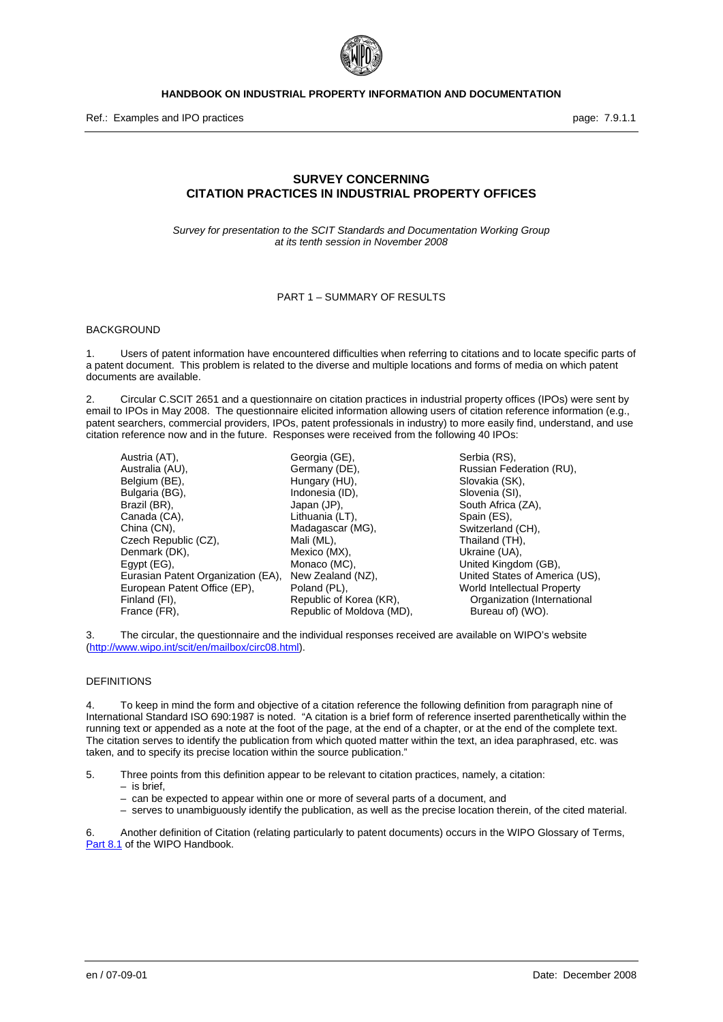

Ref.: Examples and IPO practices **page: 7.9.1.1** and intervals and intervals page: 7.9.1.1

## **SURVEY CONCERNING CITATION PRACTICES IN INDUSTRIAL PROPERTY OFFICES**

*Survey for presentation to the SCIT Standards and Documentation Working Group at its tenth session in November 2008* 

## PART 1 – SUMMARY OF RESULTS

#### BACKGROUND

1. Users of patent information have encountered difficulties when referring to citations and to locate specific parts of a patent document. This problem is related to the diverse and multiple locations and forms of media on which patent documents are available.

2. Circular C.SCIT 2651 and a questionnaire on citation practices in industrial property offices (IPOs) were sent by email to IPOs in May 2008. The questionnaire elicited information allowing users of citation reference information (e.g., patent searchers, commercial providers, IPOs, patent professionals in industry) to more easily find, understand, and use citation reference now and in the future. Responses were received from the following 40 IPOs:

Austria (AT), Australia (AU), Belgium (BE). Bulgaria (BG), Brazil (BR), Canada (CA), China (CN), Czech Republic (CZ), Denmark (DK), Egypt (EG), Eurasian Patent Organization (EA), European Patent Office (EP), Finland (FI), France (FR),

Georgia (GE), Germany (DE), Hungary (HU), Indonesia (ID), Japan (JP), Lithuania (LT), Madagascar (MG), Mali (ML), Mexico (MX), Monaco (MC), New Zealand (NZ), Poland (PL), Republic of Korea (KR), Republic of Moldova (MD),

Serbia (RS), Russian Federation (RU), Slovakia (SK), Slovenia (SI), South Africa (ZA), Spain (ES), Switzerland (CH), Thailand (TH), Ukraine (UA), United Kingdom (GB), United States of America (US), World Intellectual Property Organization (International Bureau of) (WO).

3. The circular, the questionnaire and the individual responses received are available on WIPO's website (<http://www.wipo.int/scit/en/mailbox/circ08.html>).

#### DEFINITIONS

4. To keep in mind the form and objective of a citation reference the following definition from paragraph nine of International Standard ISO 690:1987 is noted. "A citation is a brief form of reference inserted parenthetically within the running text or appended as a note at the foot of the page, at the end of a chapter, or at the end of the complete text. The citation serves to identify the publication from which quoted matter within the text, an idea paraphrased, etc. was taken, and to specify its precise location within the source publication."

5. Three points from this definition appear to be relevant to citation practices, namely, a citation:

- is brief,
- can be expected to appear within one or more of several parts of a document, and
- serves to unambiguously identify the publication, as well as the precise location therein, of the cited material.

6. Another definition of Citation (relating particularly to patent documents) occurs in the WIPO Glossary of Terms, Part 8.1 of the WIPO Handbook.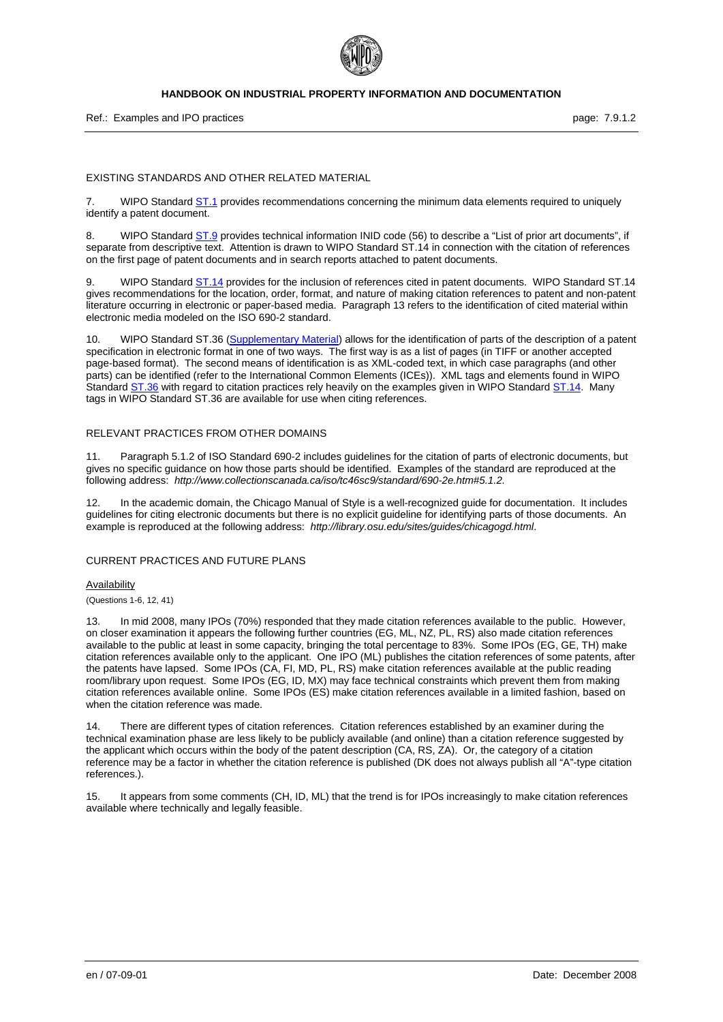

Ref.: Examples and IPO practices **page: 7.9.1.2** and intervention of the page: 7.9.1.2

#### EXISTING STANDARDS AND OTHER RELATED MATERIAL

7. WIPO Standard **ST.1** provides recommendations concerning the minimum data elements required to uniquely identify a patent document.

WIPO Standard ST.9 provides technical information INID code (56) to describe a "List of prior art documents", if separate from descriptive text. Attention is drawn to WIPO Standard ST.14 in connection with the citation of references on the first page of patent documents and in search reports attached to patent documents.

9. WIPO Standard ST.14 provides for the inclusion of references cited in patent documents. WIPO Standard ST.14 gives recommendations for the location, order, format, and nature of making citation references to patent and non-patent literature occurring in electronic or paper-based media. Paragraph 13 refers to the identification of cited material within electronic media modeled on the ISO 690-2 standard.

10. WIPO Standard ST.36 (Supplementary Material) allows for the identification of parts of the description of a patent specification in electronic format in one of two ways. The first way is as a list of pages (in TIFF or another accepted page-based format). The second means of identification is as XML-coded text, in which case paragraphs (and other parts) can be identified (refer to the International Common Elements (ICEs)). XML tags and elements found in WIPO Standard ST.36 with regard to citation practices rely heavily on the examples given in WIPO Standard ST.14. Many tags in WIPO Standard ST.36 are available for use when citing references.

#### RELEVANT PRACTICES FROM OTHER DOMAINS

11. Paragraph 5.1.2 of ISO Standard 690-2 includes guidelines for the citation of parts of electronic documents, but gives no specific guidance on how those parts should be identified. Examples of the standard are reproduced at the following address: *http://www.collectionscanada.ca/iso/tc46sc9/standard/690-2e.htm#5.1.2.* 

12. In the academic domain, the Chicago Manual of Style is a well-recognized guide for documentation. It includes guidelines for citing electronic documents but there is no explicit guideline for identifying parts of those documents. An example is reproduced at the following address: *http://library.osu.edu/sites/guides/chicagogd.html*.

## CURRENT PRACTICES AND FUTURE PLANS

#### Availability

(Questions 1-6, 12, 41)

13. In mid 2008, many IPOs (70%) responded that they made citation references available to the public. However, on closer examination it appears the following further countries (EG, ML, NZ, PL, RS) also made citation references available to the public at least in some capacity, bringing the total percentage to 83%. Some IPOs (EG, GE, TH) make citation references available only to the applicant. One IPO (ML) publishes the citation references of some patents, after the patents have lapsed. Some IPOs (CA, FI, MD, PL, RS) make citation references available at the public reading room/library upon request. Some IPOs (EG, ID, MX) may face technical constraints which prevent them from making citation references available online. Some IPOs (ES) make citation references available in a limited fashion, based on when the citation reference was made.

14. There are different types of citation references. Citation references established by an examiner during the technical examination phase are less likely to be publicly available (and online) than a citation reference suggested by the applicant which occurs within the body of the patent description (CA, RS, ZA). Or, the category of a citation reference may be a factor in whether the citation reference is published (DK does not always publish all "A"-type citation references.).

15. It appears from some comments (CH, ID, ML) that the trend is for IPOs increasingly to make citation references available where technically and legally feasible.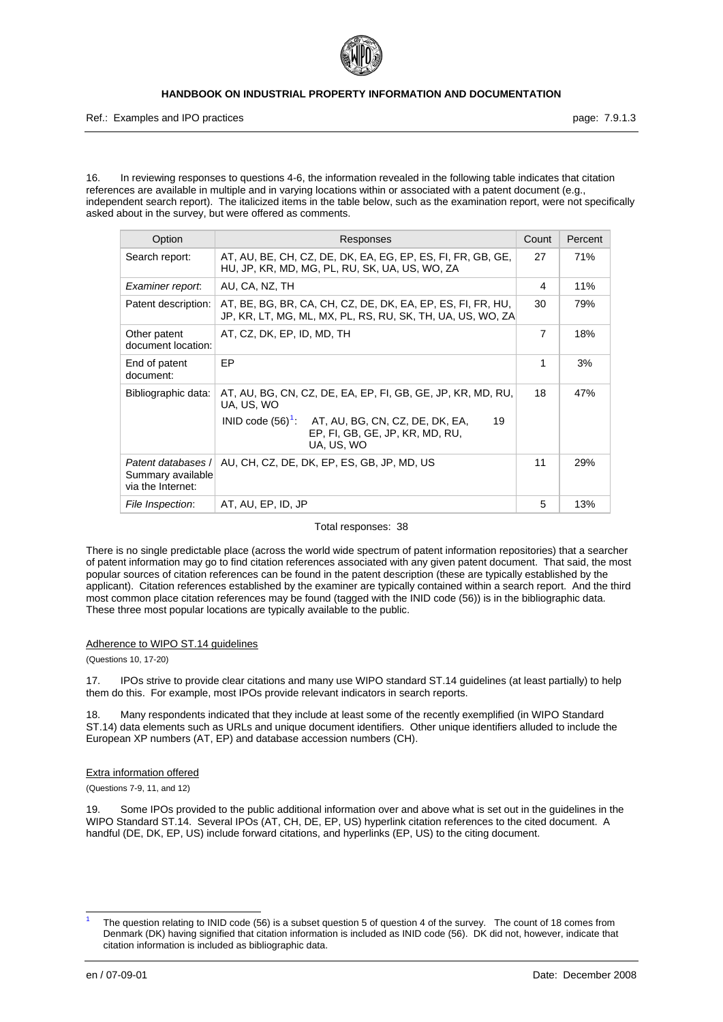

Ref.: Examples and IPO practices **page: 7.9.1.3** page: 7.9.1.3

16. In reviewing responses to questions 4-6, the information revealed in the following table indicates that citation references are available in multiple and in varying locations within or associated with a patent document (e.g., independent search report). The italicized items in the table below, such as the examination report, were not specifically asked about in the survey, but were offered as comments.

| Option                                                       | Responses                                                                                                                                                                                | Count          | Percent    |
|--------------------------------------------------------------|------------------------------------------------------------------------------------------------------------------------------------------------------------------------------------------|----------------|------------|
| Search report:                                               | AT, AU, BE, CH, CZ, DE, DK, EA, EG, EP, ES, FI, FR, GB, GE,<br>HU, JP, KR, MD, MG, PL, RU, SK, UA, US, WO, ZA                                                                            | 27             | <b>71%</b> |
| Examiner report.                                             | AU, CA, NZ, TH                                                                                                                                                                           | 4              | 11%        |
| Patent description:                                          | AT, BE, BG, BR, CA, CH, CZ, DE, DK, EA, EP, ES, FI, FR, HU,<br>JP, KR, LT, MG, ML, MX, PL, RS, RU, SK, TH, UA, US, WO, ZA                                                                | 30             | 79%        |
| Other patent<br>document location:                           | AT, CZ, DK, EP, ID, MD, TH                                                                                                                                                               | $\overline{7}$ | 18%        |
| End of patent<br>document:                                   | EP                                                                                                                                                                                       | 1              | 3%         |
| Bibliographic data:                                          | AT, AU, BG, CN, CZ, DE, EA, EP, FI, GB, GE, JP, KR, MD, RU,<br>UA, US, WO<br>INID code $(56)^1$ : AT, AU, BG, CN, CZ, DE, DK, EA,<br>19<br>EP, FI, GB, GE, JP, KR, MD, RU,<br>UA, US, WO | 18             | 47%        |
| Patent databases /<br>Summary available<br>via the Internet: | AU, CH, CZ, DE, DK, EP, ES, GB, JP, MD, US                                                                                                                                               | 11             | 29%        |
| File Inspection:                                             | AT, AU, EP, ID, JP                                                                                                                                                                       | 5              | 13%        |

Total responses: 38

There is no single predictable place (across the world wide spectrum of patent information repositories) that a searcher of patent information may go to find citation references associated with any given patent document. That said, the most popular sources of citation references can be found in the patent description (these are typically established by the applicant). Citation references established by the examiner are typically contained within a search report. And the third most common place citation references may be found (tagged with the INID code (56)) is in the bibliographic data. These three most popular locations are typically available to the public.

#### Adherence to WIPO ST.14 guidelines

(Questions 10, 17-20)

17. IPOs strive to provide clear citations and many use WIPO standard ST.14 guidelines (at least partially) to help them do this. For example, most IPOs provide relevant indicators in search reports.

18. Many respondents indicated that they include at least some of the recently exemplified (in WIPO Standard ST.14) data elements such as URLs and unique document identifiers. Other unique identifiers alluded to include the European XP numbers (AT, EP) and database accession numbers (CH).

#### Extra information offered

(Questions 7-9, 11, and 12)

19. Some IPOs provided to the public additional information over and above what is set out in the guidelines in the WIPO Standard ST.14. Several IPOs (AT, CH, DE, EP, US) hyperlink citation references to the cited document. A handful (DE, DK, EP, US) include forward citations, and hyperlinks (EP, US) to the citing document.

-

<span id="page-3-0"></span><sup>1</sup> The question relating to INID code (56) is a subset question 5 of question 4 of the survey. The count of 18 comes from Denmark (DK) having signified that citation information is included as INID code (56). DK did not, however, indicate that citation information is included as bibliographic data.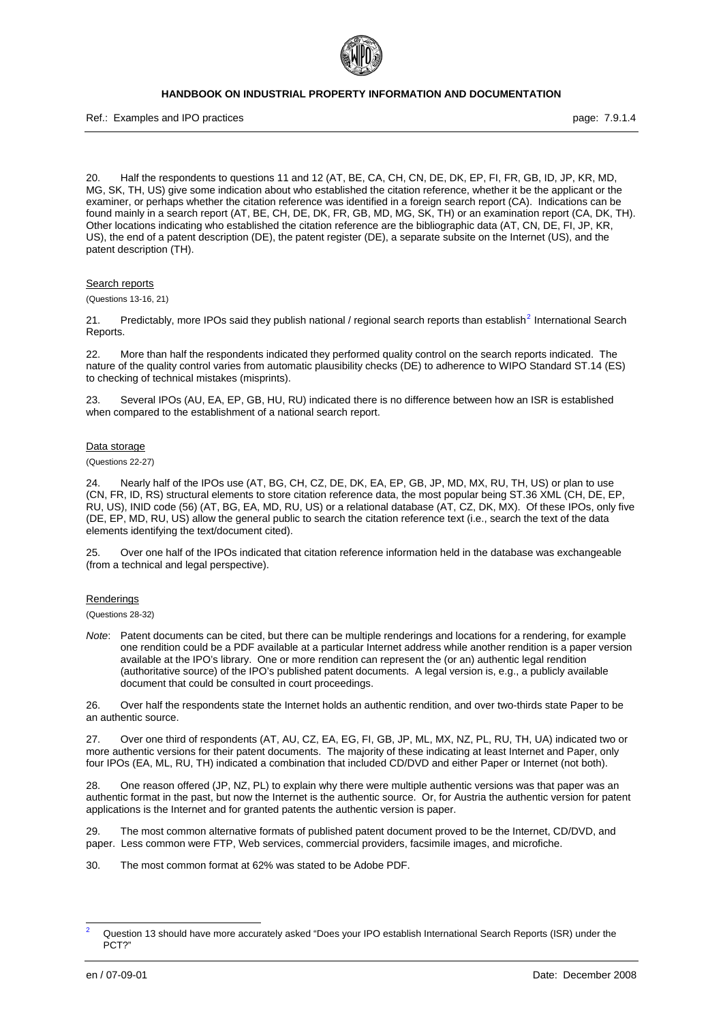

Ref.: Examples and IPO practices **page: 7.9.1.4** and  $PQ$  page: 7.9.1.4

20. Half the respondents to questions 11 and 12 (AT, BE, CA, CH, CN, DE, DK, EP, FI, FR, GB, ID, JP, KR, MD, MG, SK, TH, US) give some indication about who established the citation reference, whether it be the applicant or the examiner, or perhaps whether the citation reference was identified in a foreign search report (CA). Indications can be found mainly in a search report (AT, BE, CH, DE, DK, FR, GB, MD, MG, SK, TH) or an examination report (CA, DK, TH). Other locations indicating who established the citation reference are the bibliographic data (AT, CN, DE, FI, JP, KR, US), the end of a patent description (DE), the patent register (DE), a separate subsite on the Internet (US), and the patent description (TH).

#### Search reports

(Questions 13-16, 21)

[2](#page-4-0)1. Predictably, more IPOs said they publish national / regional search reports than establish<sup>2</sup> International Search Reports.

22. More than half the respondents indicated they performed quality control on the search reports indicated. The nature of the quality control varies from automatic plausibility checks (DE) to adherence to WIPO Standard ST.14 (ES) to checking of technical mistakes (misprints).

23. Several IPOs (AU, EA, EP, GB, HU, RU) indicated there is no difference between how an ISR is established when compared to the establishment of a national search report.

#### Data storage

(Questions 22-27)

Nearly half of the IPOs use (AT, BG, CH, CZ, DE, DK, EA, EP, GB, JP, MD, MX, RU, TH, US) or plan to use (CN, FR, ID, RS) structural elements to store citation reference data, the most popular being ST.36 XML (CH, DE, EP, RU, US), INID code (56) (AT, BG, EA, MD, RU, US) or a relational database (AT, CZ, DK, MX). Of these IPOs, only five (DE, EP, MD, RU, US) allow the general public to search the citation reference text (i.e., search the text of the data elements identifying the text/document cited).

25. Over one half of the IPOs indicated that citation reference information held in the database was exchangeable (from a technical and legal perspective).

#### Renderings

(Questions 28-32)

*Note*: Patent documents can be cited, but there can be multiple renderings and locations for a rendering, for example one rendition could be a PDF available at a particular Internet address while another rendition is a paper version available at the IPO's library. One or more rendition can represent the (or an) authentic legal rendition (authoritative source) of the IPO's published patent documents. A legal version is, e.g., a publicly available document that could be consulted in court proceedings.

26. Over half the respondents state the Internet holds an authentic rendition, and over two-thirds state Paper to be an authentic source.

27. Over one third of respondents (AT, AU, CZ, EA, EG, FI, GB, JP, ML, MX, NZ, PL, RU, TH, UA) indicated two or more authentic versions for their patent documents. The majority of these indicating at least Internet and Paper, only four IPOs (EA, ML, RU, TH) indicated a combination that included CD/DVD and either Paper or Internet (not both).

28. One reason offered (JP, NZ, PL) to explain why there were multiple authentic versions was that paper was an authentic format in the past, but now the Internet is the authentic source. Or, for Austria the authentic version for patent applications is the Internet and for granted patents the authentic version is paper.

29. The most common alternative formats of published patent document proved to be the Internet, CD/DVD, and paper. Less common were FTP, Web services, commercial providers, facsimile images, and microfiche.

30. The most common format at 62% was stated to be Adobe PDF.

-

<span id="page-4-0"></span><sup>2</sup> Question 13 should have more accurately asked "Does your IPO establish International Search Reports (ISR) under the PCT?"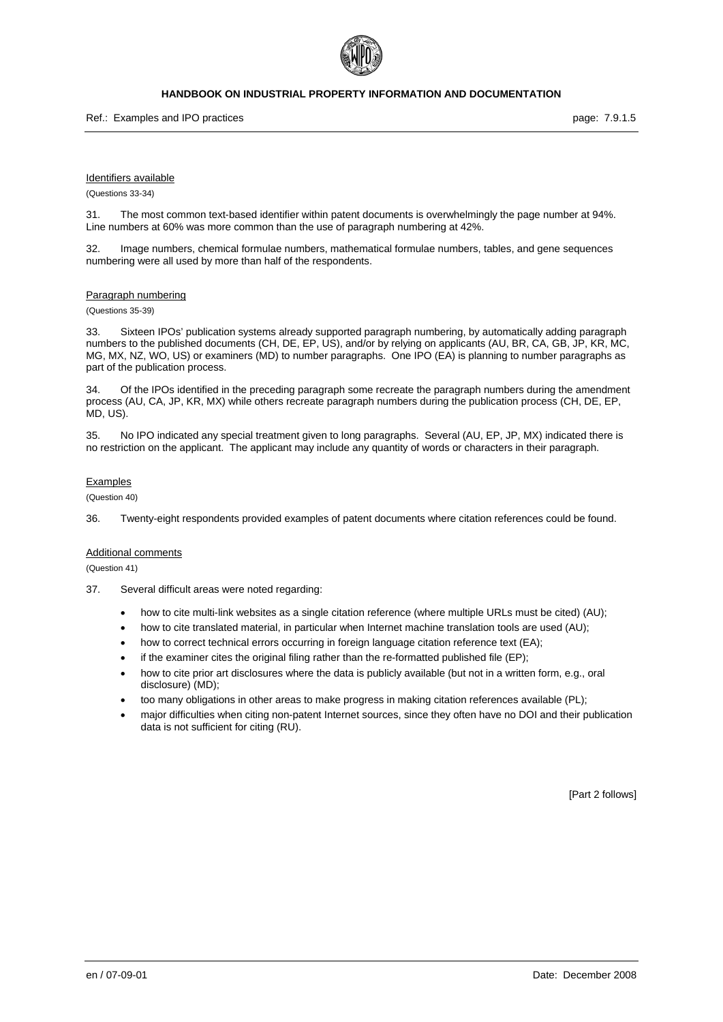

Ref.: Examples and IPO practices **page: 7.9.1.5** page: 7.9.1.5

#### Identifiers available

(Questions 33-34)

31. The most common text-based identifier within patent documents is overwhelmingly the page number at 94%. Line numbers at 60% was more common than the use of paragraph numbering at 42%.

32. Image numbers, chemical formulae numbers, mathematical formulae numbers, tables, and gene sequences numbering were all used by more than half of the respondents.

#### Paragraph numbering

(Questions 35-39)

33. Sixteen IPOs' publication systems already supported paragraph numbering, by automatically adding paragraph numbers to the published documents (CH, DE, EP, US), and/or by relying on applicants (AU, BR, CA, GB, JP, KR, MC, MG, MX, NZ, WO, US) or examiners (MD) to number paragraphs. One IPO (EA) is planning to number paragraphs as part of the publication process.

34. Of the IPOs identified in the preceding paragraph some recreate the paragraph numbers during the amendment process (AU, CA, JP, KR, MX) while others recreate paragraph numbers during the publication process (CH, DE, EP, MD, US).

35. No IPO indicated any special treatment given to long paragraphs. Several (AU, EP, JP, MX) indicated there is no restriction on the applicant. The applicant may include any quantity of words or characters in their paragraph.

#### Examples

(Question 40)

36. Twenty-eight respondents provided examples of patent documents where citation references could be found.

#### Additional comments

(Question 41)

- 37. Several difficult areas were noted regarding:
	- how to cite multi-link websites as a single citation reference (where multiple URLs must be cited) (AU);
	- how to cite translated material, in particular when Internet machine translation tools are used (AU);
	- how to correct technical errors occurring in foreign language citation reference text (EA);
	- if the examiner cites the original filing rather than the re-formatted published file (EP);
	- how to cite prior art disclosures where the data is publicly available (but not in a written form, e.g., oral disclosure) (MD);
	- too many obligations in other areas to make progress in making citation references available (PL);
	- major difficulties when citing non-patent Internet sources, since they often have no DOI and their publication data is not sufficient for citing (RU).

[Part 2 follows]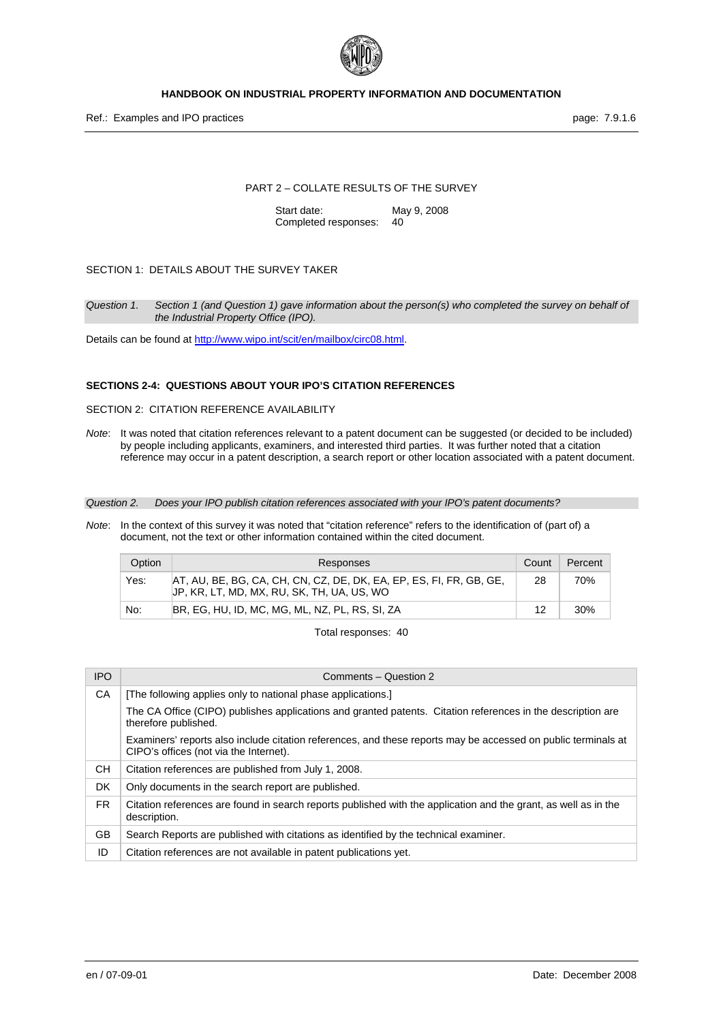

Ref.: Examples and IPO practices **page: 7.9.1.6** Page: 7.9.1.6

#### PART 2 – COLLATE RESULTS OF THE SURVEY

Start date: May 9, 2008 Completed responses: 40

#### SECTION 1: DETAILS ABOUT THE SURVEY TAKER

*Question 1. Section 1 (and Question 1) gave information about the person(s) who completed the survey on behalf of the Industrial Property Office (IPO).* 

Details can be found at [http://www.wipo.int/scit/en/mailbox/circ08.html.](http://www.wipo.int/scit/en/mailbox/circ08.html)

#### **SECTIONS 2-4: QUESTIONS ABOUT YOUR IPO'S CITATION REFERENCES**

SECTION 2: CITATION REFERENCE AVAILABILITY

*Note*: It was noted that citation references relevant to a patent document can be suggested (or decided to be included) by people including applicants, examiners, and interested third parties. It was further noted that a citation reference may occur in a patent description, a search report or other location associated with a patent document.

*Question 2. Does your IPO publish citation references associated with your IPO's patent documents?* 

*Note*: In the context of this survey it was noted that "citation reference" refers to the identification of (part of) a document, not the text or other information contained within the cited document.

| Option | Responses                                                                                                         | Count | Percent |
|--------|-------------------------------------------------------------------------------------------------------------------|-------|---------|
| Yes:   | AT, AU, BE, BG, CA, CH, CN, CZ, DE, DK, EA, EP, ES, FI, FR, GB, GE,<br>JP, KR, LT, MD, MX, RU, SK, TH, UA, US, WO | 28    | 70%     |
| No:    | BR, EG, HU, ID, MC, MG, ML, NZ, PL, RS, SI, ZA                                                                    | 12    | 30%     |

| <b>IPO</b> | Comments - Question 2                                                                                                                                   |
|------------|---------------------------------------------------------------------------------------------------------------------------------------------------------|
| CA         | [The following applies only to national phase applications.]                                                                                            |
|            | The CA Office (CIPO) publishes applications and granted patents. Citation references in the description are<br>therefore published.                     |
|            | Examiners' reports also include citation references, and these reports may be accessed on public terminals at<br>CIPO's offices (not via the Internet). |
| CH.        | Citation references are published from July 1, 2008.                                                                                                    |
| DK.        | Only documents in the search report are published.                                                                                                      |
| FR.        | Citation references are found in search reports published with the application and the grant, as well as in the<br>description.                         |
| GB         | Search Reports are published with citations as identified by the technical examiner.                                                                    |
| ID         | Citation references are not available in patent publications yet.                                                                                       |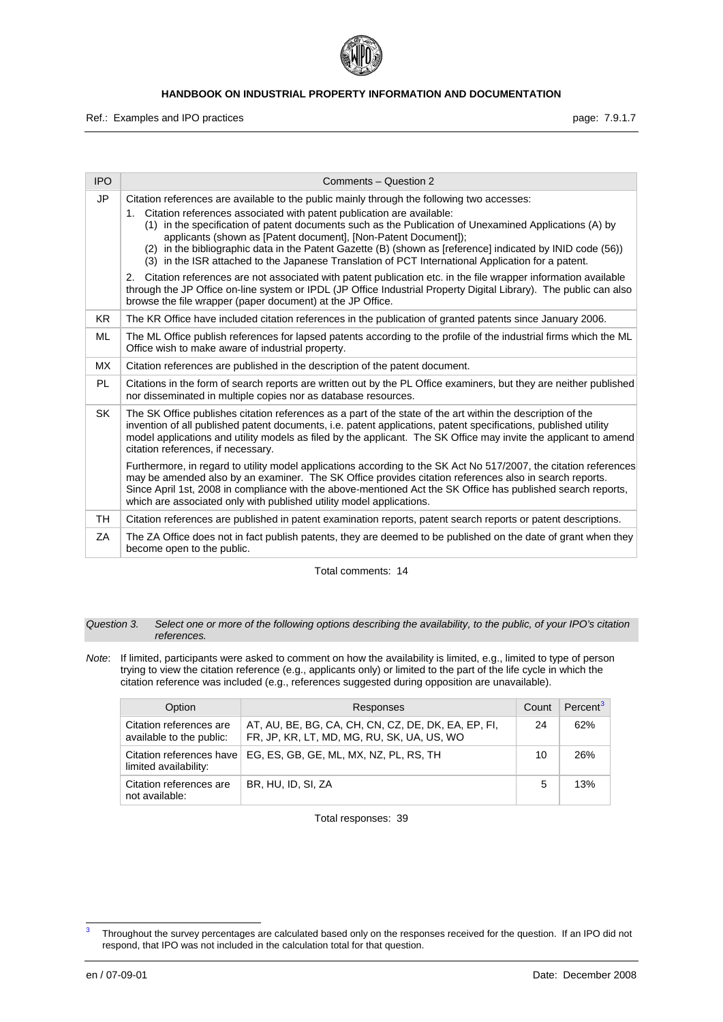

Ref.: Examples and IPO practices **page: 7.9.1.7** and intervals and intervals page: 7.9.1.7

| <b>IPO</b> | Comments - Question 2                                                                                                                                                                                                                                                                                                                                                                                                                                                                                                                                                      |
|------------|----------------------------------------------------------------------------------------------------------------------------------------------------------------------------------------------------------------------------------------------------------------------------------------------------------------------------------------------------------------------------------------------------------------------------------------------------------------------------------------------------------------------------------------------------------------------------|
| JP         | Citation references are available to the public mainly through the following two accesses:<br>Citation references associated with patent publication are available:<br>1.<br>(1) in the specification of patent documents such as the Publication of Unexamined Applications (A) by<br>applicants (shown as [Patent document], [Non-Patent Document]);<br>(2) in the bibliographic data in the Patent Gazette (B) (shown as [reference] indicated by INID code (56))<br>(3) in the ISR attached to the Japanese Translation of PCT International Application for a patent. |
|            | Citation references are not associated with patent publication etc. in the file wrapper information available<br>2.<br>through the JP Office on-line system or IPDL (JP Office Industrial Property Digital Library). The public can also<br>browse the file wrapper (paper document) at the JP Office.                                                                                                                                                                                                                                                                     |
| KR.        | The KR Office have included citation references in the publication of granted patents since January 2006.                                                                                                                                                                                                                                                                                                                                                                                                                                                                  |
| ML         | The ML Office publish references for lapsed patents according to the profile of the industrial firms which the ML<br>Office wish to make aware of industrial property.                                                                                                                                                                                                                                                                                                                                                                                                     |
| MX.        | Citation references are published in the description of the patent document.                                                                                                                                                                                                                                                                                                                                                                                                                                                                                               |
| <b>PL</b>  | Citations in the form of search reports are written out by the PL Office examiners, but they are neither published<br>nor disseminated in multiple copies nor as database resources.                                                                                                                                                                                                                                                                                                                                                                                       |
| <b>SK</b>  | The SK Office publishes citation references as a part of the state of the art within the description of the<br>invention of all published patent documents, i.e. patent applications, patent specifications, published utility<br>model applications and utility models as filed by the applicant. The SK Office may invite the applicant to amend<br>citation references, if necessary.                                                                                                                                                                                   |
|            | Furthermore, in regard to utility model applications according to the SK Act No 517/2007, the citation references<br>may be amended also by an examiner. The SK Office provides citation references also in search reports.<br>Since April 1st, 2008 in compliance with the above-mentioned Act the SK Office has published search reports,<br>which are associated only with published utility model applications.                                                                                                                                                        |
| TH         | Citation references are published in patent examination reports, patent search reports or patent descriptions.                                                                                                                                                                                                                                                                                                                                                                                                                                                             |
| ZA         | The ZA Office does not in fact publish patents, they are deemed to be published on the date of grant when they<br>become open to the public.                                                                                                                                                                                                                                                                                                                                                                                                                               |

Total comments: 14

*Question 3. Select one or more of the following options describing the availability, to the public, of your IPO's citation references.* 

*Note*: If limited, participants were asked to comment on how the availability is limited, e.g., limited to type of person trying to view the citation reference (e.g., applicants only) or limited to the part of the life cycle in which the citation reference was included (e.g., references suggested during opposition are unavailable).

| Option                                              | Responses                                                                                         | Count | Percent <sup>3</sup> |
|-----------------------------------------------------|---------------------------------------------------------------------------------------------------|-------|----------------------|
| Citation references are<br>available to the public: | AT, AU, BE, BG, CA, CH, CN, CZ, DE, DK, EA, EP, FI,<br>FR, JP, KR, LT, MD, MG, RU, SK, UA, US, WO | 24    | 62%                  |
| Citation references have<br>limited availability:   | EG, ES, GB, GE, ML, MX, NZ, PL, RS, TH                                                            | 10    | 26%                  |
| Citation references are<br>not available:           | BR. HU. ID. SI. ZA                                                                                | 5     | 13%                  |

<span id="page-7-0"></span><sup>-&</sup>lt;br>3 Throughout the survey percentages are calculated based only on the responses received for the question. If an IPO did not respond, that IPO was not included in the calculation total for that question.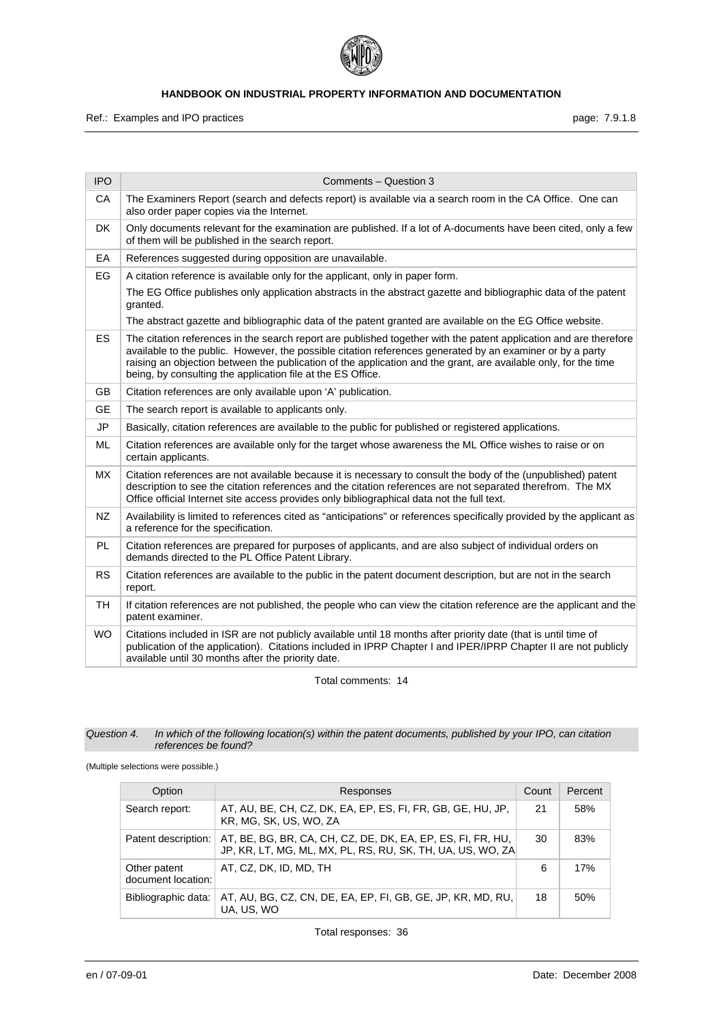

Ref.: Examples and IPO practices **page: 7.9.1.8** page: 7.9.1.8

| <b>IPO</b> | Comments - Question 3                                                                                                                                                                                                                                                                                                                                                                                            |
|------------|------------------------------------------------------------------------------------------------------------------------------------------------------------------------------------------------------------------------------------------------------------------------------------------------------------------------------------------------------------------------------------------------------------------|
| CA         | The Examiners Report (search and defects report) is available via a search room in the CA Office. One can<br>also order paper copies via the Internet.                                                                                                                                                                                                                                                           |
| DK         | Only documents relevant for the examination are published. If a lot of A-documents have been cited, only a few<br>of them will be published in the search report.                                                                                                                                                                                                                                                |
| EA         | References suggested during opposition are unavailable.                                                                                                                                                                                                                                                                                                                                                          |
| EG         | A citation reference is available only for the applicant, only in paper form.                                                                                                                                                                                                                                                                                                                                    |
|            | The EG Office publishes only application abstracts in the abstract gazette and bibliographic data of the patent<br>granted.                                                                                                                                                                                                                                                                                      |
|            | The abstract gazette and bibliographic data of the patent granted are available on the EG Office website.                                                                                                                                                                                                                                                                                                        |
| <b>ES</b>  | The citation references in the search report are published together with the patent application and are therefore<br>available to the public. However, the possible citation references generated by an examiner or by a party<br>raising an objection between the publication of the application and the grant, are available only, for the time<br>being, by consulting the application file at the ES Office. |
| <b>GB</b>  | Citation references are only available upon 'A' publication.                                                                                                                                                                                                                                                                                                                                                     |
| <b>GE</b>  | The search report is available to applicants only.                                                                                                                                                                                                                                                                                                                                                               |
| <b>JP</b>  | Basically, citation references are available to the public for published or registered applications.                                                                                                                                                                                                                                                                                                             |
| ML         | Citation references are available only for the target whose awareness the ML Office wishes to raise or on<br>certain applicants.                                                                                                                                                                                                                                                                                 |
| <b>MX</b>  | Citation references are not available because it is necessary to consult the body of the (unpublished) patent<br>description to see the citation references and the citation references are not separated therefrom. The MX<br>Office official Internet site access provides only bibliographical data not the full text.                                                                                        |
| <b>NZ</b>  | Availability is limited to references cited as "anticipations" or references specifically provided by the applicant as<br>a reference for the specification.                                                                                                                                                                                                                                                     |
| PL         | Citation references are prepared for purposes of applicants, and are also subject of individual orders on<br>demands directed to the PL Office Patent Library.                                                                                                                                                                                                                                                   |
| <b>RS</b>  | Citation references are available to the public in the patent document description, but are not in the search<br>report.                                                                                                                                                                                                                                                                                         |
| <b>TH</b>  | If citation references are not published, the people who can view the citation reference are the applicant and the<br>patent examiner.                                                                                                                                                                                                                                                                           |
| <b>WO</b>  | Citations included in ISR are not publicly available until 18 months after priority date (that is until time of<br>publication of the application). Citations included in IPRP Chapter I and IPER/IPRP Chapter II are not publicly<br>available until 30 months after the priority date.                                                                                                                         |

Total comments: 14

#### *Question 4. In which of the following location(s) within the patent documents, published by your IPO, can citation references be found?*

(Multiple selections were possible.)

| Option                             | Responses                                                                                                                 | Count | Percent |
|------------------------------------|---------------------------------------------------------------------------------------------------------------------------|-------|---------|
| Search report:                     | AT, AU, BE, CH, CZ, DK, EA, EP, ES, FI, FR, GB, GE, HU, JP,<br>KR, MG, SK, US, WO, ZA                                     | 21    | 58%     |
| Patent description:                | AT, BE, BG, BR, CA, CH, CZ, DE, DK, EA, EP, ES, FI, FR, HU,<br>JP, KR, LT, MG, ML, MX, PL, RS, RU, SK, TH, UA, US, WO, ZA | 30    | 83%     |
| Other patent<br>document location: | AT, CZ, DK, ID, MD, TH                                                                                                    | 6     | 17%     |
| Bibliographic data:                | AT, AU, BG, CZ, CN, DE, EA, EP, FI, GB, GE, JP, KR, MD, RU,<br>UA, US, WO                                                 | 18    | 50%     |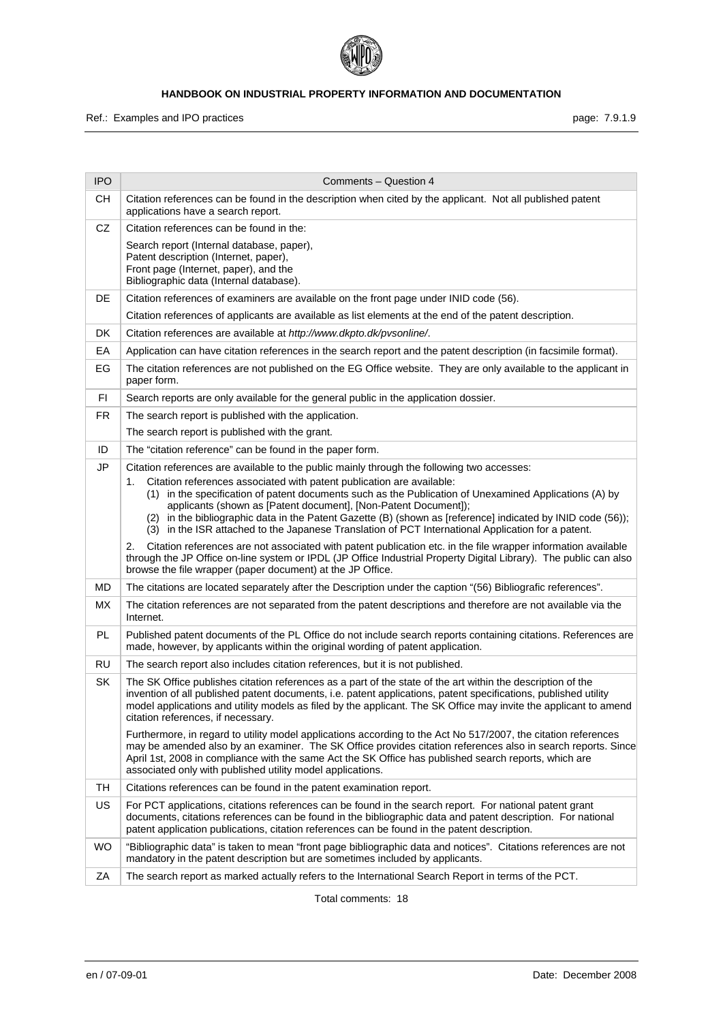

Ref.: Examples and IPO practices **page: 7.9.1.9** page: 7.9.1.9

| <b>IPO</b> | Comments - Question 4                                                                                                                                                                                                                                                                                                                                                                                                                                                         |
|------------|-------------------------------------------------------------------------------------------------------------------------------------------------------------------------------------------------------------------------------------------------------------------------------------------------------------------------------------------------------------------------------------------------------------------------------------------------------------------------------|
| CН         | Citation references can be found in the description when cited by the applicant. Not all published patent<br>applications have a search report.                                                                                                                                                                                                                                                                                                                               |
| CZ         | Citation references can be found in the:                                                                                                                                                                                                                                                                                                                                                                                                                                      |
|            | Search report (Internal database, paper),<br>Patent description (Internet, paper),<br>Front page (Internet, paper), and the<br>Bibliographic data (Internal database).                                                                                                                                                                                                                                                                                                        |
| DE         | Citation references of examiners are available on the front page under INID code (56).                                                                                                                                                                                                                                                                                                                                                                                        |
|            | Citation references of applicants are available as list elements at the end of the patent description.                                                                                                                                                                                                                                                                                                                                                                        |
| DK         | Citation references are available at http://www.dkpto.dk/pvsonline/.                                                                                                                                                                                                                                                                                                                                                                                                          |
| EA         | Application can have citation references in the search report and the patent description (in facsimile format).                                                                                                                                                                                                                                                                                                                                                               |
| EG         | The citation references are not published on the EG Office website. They are only available to the applicant in<br>paper form.                                                                                                                                                                                                                                                                                                                                                |
| FI         | Search reports are only available for the general public in the application dossier.                                                                                                                                                                                                                                                                                                                                                                                          |
| FR.        | The search report is published with the application.                                                                                                                                                                                                                                                                                                                                                                                                                          |
|            | The search report is published with the grant.                                                                                                                                                                                                                                                                                                                                                                                                                                |
| ID         | The "citation reference" can be found in the paper form.                                                                                                                                                                                                                                                                                                                                                                                                                      |
| JP         | Citation references are available to the public mainly through the following two accesses:                                                                                                                                                                                                                                                                                                                                                                                    |
|            | Citation references associated with patent publication are available:<br>1.<br>(1) in the specification of patent documents such as the Publication of Unexamined Applications (A) by<br>applicants (shown as [Patent document], [Non-Patent Document]);<br>(2) in the bibliographic data in the Patent Gazette (B) (shown as [reference] indicated by INID code (56));<br>(3) in the ISR attached to the Japanese Translation of PCT International Application for a patent. |
|            | Citation references are not associated with patent publication etc. in the file wrapper information available<br>2.<br>through the JP Office on-line system or IPDL (JP Office Industrial Property Digital Library). The public can also<br>browse the file wrapper (paper document) at the JP Office.                                                                                                                                                                        |
| MD         | The citations are located separately after the Description under the caption "(56) Bibliografic references".                                                                                                                                                                                                                                                                                                                                                                  |
| MX.        | The citation references are not separated from the patent descriptions and therefore are not available via the<br>Internet.                                                                                                                                                                                                                                                                                                                                                   |
| PL.        | Published patent documents of the PL Office do not include search reports containing citations. References are<br>made, however, by applicants within the original wording of patent application.                                                                                                                                                                                                                                                                             |
| <b>RU</b>  | The search report also includes citation references, but it is not published.                                                                                                                                                                                                                                                                                                                                                                                                 |
| <b>SK</b>  | The SK Office publishes citation references as a part of the state of the art within the description of the<br>invention of all published patent documents, i.e. patent applications, patent specifications, published utility<br>model applications and utility models as filed by the applicant. The SK Office may invite the applicant to amend<br>citation references, if necessary.                                                                                      |
|            | Furthermore, in regard to utility model applications according to the Act No 517/2007, the citation references<br>may be amended also by an examiner. The SK Office provides citation references also in search reports. Since<br>April 1st, 2008 in compliance with the same Act the SK Office has published search reports, which are<br>associated only with published utility model applications.                                                                         |
| <b>TH</b>  | Citations references can be found in the patent examination report.                                                                                                                                                                                                                                                                                                                                                                                                           |
| <b>US</b>  | For PCT applications, citations references can be found in the search report. For national patent grant<br>documents, citations references can be found in the bibliographic data and patent description. For national<br>patent application publications, citation references can be found in the patent description.                                                                                                                                                        |
| <b>WO</b>  | "Bibliographic data" is taken to mean "front page bibliographic data and notices". Citations references are not<br>mandatory in the patent description but are sometimes included by applicants.                                                                                                                                                                                                                                                                              |
| ΖA         | The search report as marked actually refers to the International Search Report in terms of the PCT.                                                                                                                                                                                                                                                                                                                                                                           |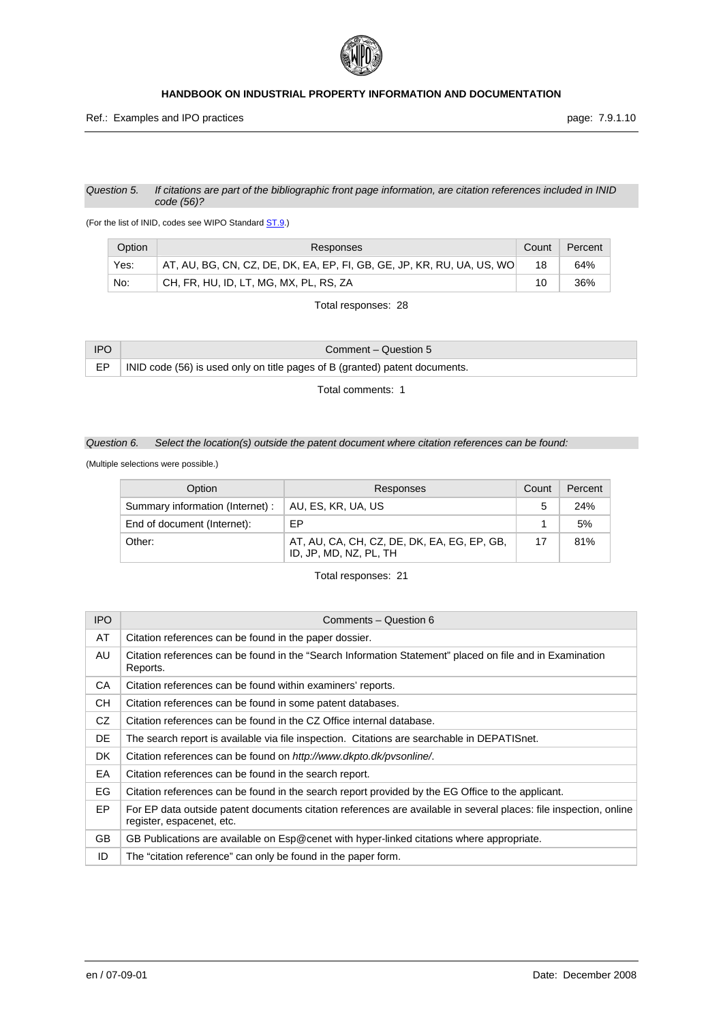

#### *Question 5. If citations are part of the bibliographic front page information, are citation references included in INID code (56)?*

(For the list of INID, codes see WIPO Standard [ST.9](http://www.wipo.int/standards/en/pdf/03-09-01.pdf).)

| Option | Responses                                                              | Count | Percent |
|--------|------------------------------------------------------------------------|-------|---------|
| Yes:   | AT, AU, BG, CN, CZ, DE, DK, EA, EP, FI, GB, GE, JP, KR, RU, UA, US, WO | 18    | 64%     |
| No:    | CH, FR, HU, ID, LT, MG, MX, PL, RS, ZA                                 | 10    | 36%     |

Total responses: 28

| <b>IPO</b> | Comment – Question 5                                                        |
|------------|-----------------------------------------------------------------------------|
|            | INID code (56) is used only on title pages of B (granted) patent documents. |

Total comments: 1

## *Question 6. Select the location(s) outside the patent document where citation references can be found:*

(Multiple selections were possible.)

| Option                           | Responses                                                             | Count | Percent |
|----------------------------------|-----------------------------------------------------------------------|-------|---------|
| Summary information (Internet) : | AU, ES, KR, UA, US                                                    | 5     | 24%     |
| End of document (Internet):      | FP                                                                    |       | 5%      |
| Other:                           | AT, AU, CA, CH, CZ, DE, DK, EA, EG, EP, GB,<br>ID, JP, MD, NZ, PL, TH | 17    | 81%     |

| <b>IPO</b> | Comments - Question 6                                                                                                                          |
|------------|------------------------------------------------------------------------------------------------------------------------------------------------|
| AT         | Citation references can be found in the paper dossier.                                                                                         |
| AU         | Citation references can be found in the "Search Information Statement" placed on file and in Examination<br>Reports.                           |
| CA         | Citation references can be found within examiners' reports.                                                                                    |
| CН         | Citation references can be found in some patent databases.                                                                                     |
| CZ.        | Citation references can be found in the CZ Office internal database.                                                                           |
| DE         | The search report is available via file inspection. Citations are searchable in DEPATISnet.                                                    |
| DK.        | Citation references can be found on http://www.dkpto.dk/pvsonline/.                                                                            |
| EA         | Citation references can be found in the search report.                                                                                         |
| EG.        | Citation references can be found in the search report provided by the EG Office to the applicant.                                              |
| EP         | For EP data outside patent documents citation references are available in several places: file inspection, online<br>register, espacenet, etc. |
| <b>GB</b>  | GB Publications are available on Esp@cenet with hyper-linked citations where appropriate.                                                      |
| ID         | The "citation reference" can only be found in the paper form.                                                                                  |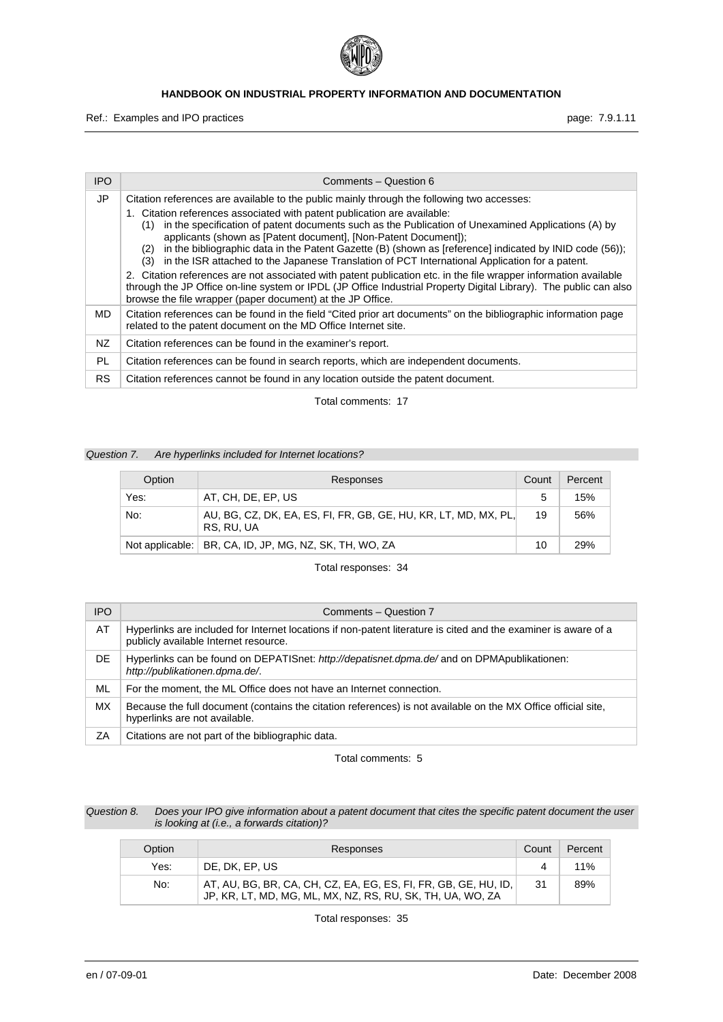

Ref.: Examples and IPO practices **page: 7.9.1.11** page: 7.9.1.11

| <b>IPO</b> | Comments - Question 6                                                                                                                                                                                                                                                                                                                                                                                                                                                                                                                                                                                                                                                                                 |
|------------|-------------------------------------------------------------------------------------------------------------------------------------------------------------------------------------------------------------------------------------------------------------------------------------------------------------------------------------------------------------------------------------------------------------------------------------------------------------------------------------------------------------------------------------------------------------------------------------------------------------------------------------------------------------------------------------------------------|
| JP         | Citation references are available to the public mainly through the following two accesses:<br>1. Citation references associated with patent publication are available:<br>in the specification of patent documents such as the Publication of Unexamined Applications (A) by<br>(1)<br>applicants (shown as [Patent document], [Non-Patent Document]);<br>in the bibliographic data in the Patent Gazette (B) (shown as [reference] indicated by INID code (56));<br>(2)<br>in the ISR attached to the Japanese Translation of PCT International Application for a patent.<br>(3)<br>2. Citation references are not associated with patent publication etc. in the file wrapper information available |
|            | through the JP Office on-line system or IPDL (JP Office Industrial Property Digital Library). The public can also<br>browse the file wrapper (paper document) at the JP Office.                                                                                                                                                                                                                                                                                                                                                                                                                                                                                                                       |
| MD.        | Citation references can be found in the field "Cited prior art documents" on the bibliographic information page<br>related to the patent document on the MD Office Internet site.                                                                                                                                                                                                                                                                                                                                                                                                                                                                                                                     |
| NZ         | Citation references can be found in the examiner's report.                                                                                                                                                                                                                                                                                                                                                                                                                                                                                                                                                                                                                                            |
| PL         | Citation references can be found in search reports, which are independent documents.                                                                                                                                                                                                                                                                                                                                                                                                                                                                                                                                                                                                                  |
| RS.        | Citation references cannot be found in any location outside the patent document.                                                                                                                                                                                                                                                                                                                                                                                                                                                                                                                                                                                                                      |

Total comments: 17

## *Question 7. Are hyperlinks included for Internet locations?*

| Option | Responses                                                                     | Count | Percent |
|--------|-------------------------------------------------------------------------------|-------|---------|
| Yes:   | AT, CH, DE, EP, US                                                            | 5     | 15%     |
| No:    | AU, BG, CZ, DK, EA, ES, FI, FR, GB, GE, HU, KR, LT, MD, MX, PL,<br>RS. RU. UA | 19    | 56%     |
|        | Not applicable:   BR, CA, ID, JP, MG, NZ, SK, TH, WO, ZA                      | 10    | 29%     |

Total responses: 34

| <b>IPO</b> | Comments - Question 7                                                                                                                                    |
|------------|----------------------------------------------------------------------------------------------------------------------------------------------------------|
| AT         | Hyperlinks are included for Internet locations if non-patent literature is cited and the examiner is aware of a<br>publicly available Internet resource. |
| DE         | Hyperlinks can be found on DEPATISnet: http://depatisnet.dpma.de/and on DPMApublikationen:<br>http://publikationen.dpma.de/.                             |
| ML         | For the moment, the ML Office does not have an Internet connection.                                                                                      |
| МX         | Because the full document (contains the citation references) is not available on the MX Office official site,<br>hyperlinks are not available.           |
| ΖA         | Citations are not part of the bibliographic data.                                                                                                        |

Total comments: 5

| Question 8. | Does your IPO give information about a patent document that cites the specific patent document the user |
|-------------|---------------------------------------------------------------------------------------------------------|
|             | is looking at (i.e., a forwards citation)?                                                              |

| Option | Responses                                                                                                                     | Count | Percent |
|--------|-------------------------------------------------------------------------------------------------------------------------------|-------|---------|
| Yes:   | DE. DK. EP. US                                                                                                                |       | 11%     |
| No:    | AT, AU, BG, BR, CA, CH, CZ, EA, EG, ES, FI, FR, GB, GE, HU, ID,<br>JP, KR, LT, MD, MG, ML, MX, NZ, RS, RU, SK, TH, UA, WO, ZA | 31    | 89%     |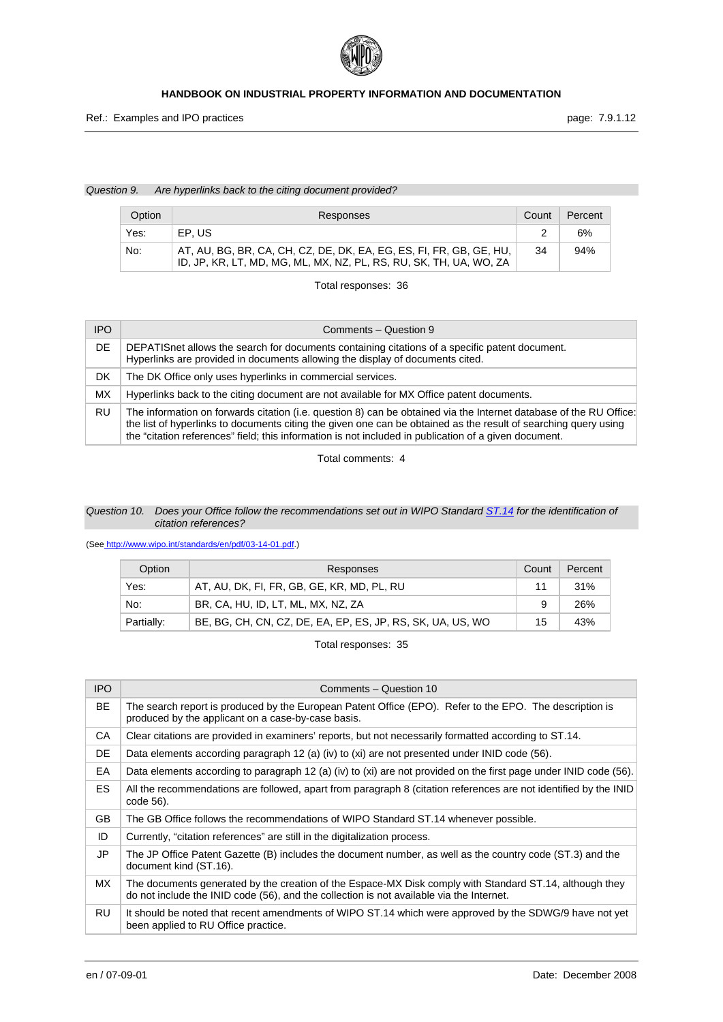

#### *Question 9. Are hyperlinks back to the citing document provided?*

| Option | Responses                                                                                                                                 | Count | Percent |
|--------|-------------------------------------------------------------------------------------------------------------------------------------------|-------|---------|
| Yes:   | EP.US                                                                                                                                     |       | 6%      |
| No:    | AT, AU, BG, BR, CA, CH, CZ, DE, DK, EA, EG, ES, FI, FR, GB, GE, HU,<br>ID, JP, KR, LT, MD, MG, ML, MX, NZ, PL, RS, RU, SK, TH, UA, WO, ZA | 34    | 94%     |

Total responses: 36

| <b>IPO</b> | Comments - Question 9                                                                                                                                                                                                                                                                                                                          |
|------------|------------------------------------------------------------------------------------------------------------------------------------------------------------------------------------------------------------------------------------------------------------------------------------------------------------------------------------------------|
| DE         | DEPATIS net allows the search for documents containing citations of a specific patent document.<br>Hyperlinks are provided in documents allowing the display of documents cited.                                                                                                                                                               |
| DK         | The DK Office only uses hyperlinks in commercial services.                                                                                                                                                                                                                                                                                     |
| МX         | Hyperlinks back to the citing document are not available for MX Office patent documents.                                                                                                                                                                                                                                                       |
| RU         | The information on forwards citation (i.e. question 8) can be obtained via the Internet database of the RU Office:<br>the list of hyperlinks to documents citing the given one can be obtained as the result of searching query using<br>the "citation references" field; this information is not included in publication of a given document. |

Total comments: 4

## *Question 10. Does your Office follow the recommendations set out in WIPO Standard [ST.14](http://www.wipo.int/standards/en/pdf/03-14-01.pdf) for the identification of citation references?*

(See<http://www.wipo.int/standards/en/pdf/03-14-01.pdf>.)

| Option     | Responses                                                  | Count | Percent |
|------------|------------------------------------------------------------|-------|---------|
| Yes:       | AT, AU, DK, FI, FR, GB, GE, KR, MD, PL, RU                 | 11    | 31%     |
| No:        | BR, CA, HU, ID, LT, ML, MX, NZ, ZA                         | 9     | 26%     |
| Partially: | BE, BG, CH, CN, CZ, DE, EA, EP, ES, JP, RS, SK, UA, US, WO | 15    | 43%     |

| <b>IPO</b> | Comments - Question 10                                                                                                                                                                              |
|------------|-----------------------------------------------------------------------------------------------------------------------------------------------------------------------------------------------------|
| <b>BE</b>  | The search report is produced by the European Patent Office (EPO). Refer to the EPO. The description is<br>produced by the applicant on a case-by-case basis.                                       |
| CA         | Clear citations are provided in examiners' reports, but not necessarily formatted according to ST.14.                                                                                               |
| DE         | Data elements according paragraph 12 (a) (iv) to (xi) are not presented under INID code (56).                                                                                                       |
| EA         | Data elements according to paragraph 12 (a) (iv) to (xi) are not provided on the first page under INID code (56).                                                                                   |
| ES.        | All the recommendations are followed, apart from paragraph 8 (citation references are not identified by the INID<br>code 56).                                                                       |
| <b>GB</b>  | The GB Office follows the recommendations of WIPO Standard ST.14 whenever possible.                                                                                                                 |
| ID         | Currently, "citation references" are still in the digitalization process.                                                                                                                           |
| JP         | The JP Office Patent Gazette (B) includes the document number, as well as the country code (ST.3) and the<br>document kind (ST.16).                                                                 |
| MX.        | The documents generated by the creation of the Espace-MX Disk comply with Standard ST.14, although they<br>do not include the INID code (56), and the collection is not available via the Internet. |
| <b>RU</b>  | It should be noted that recent amendments of WIPO ST.14 which were approved by the SDWG/9 have not yet<br>been applied to RU Office practice.                                                       |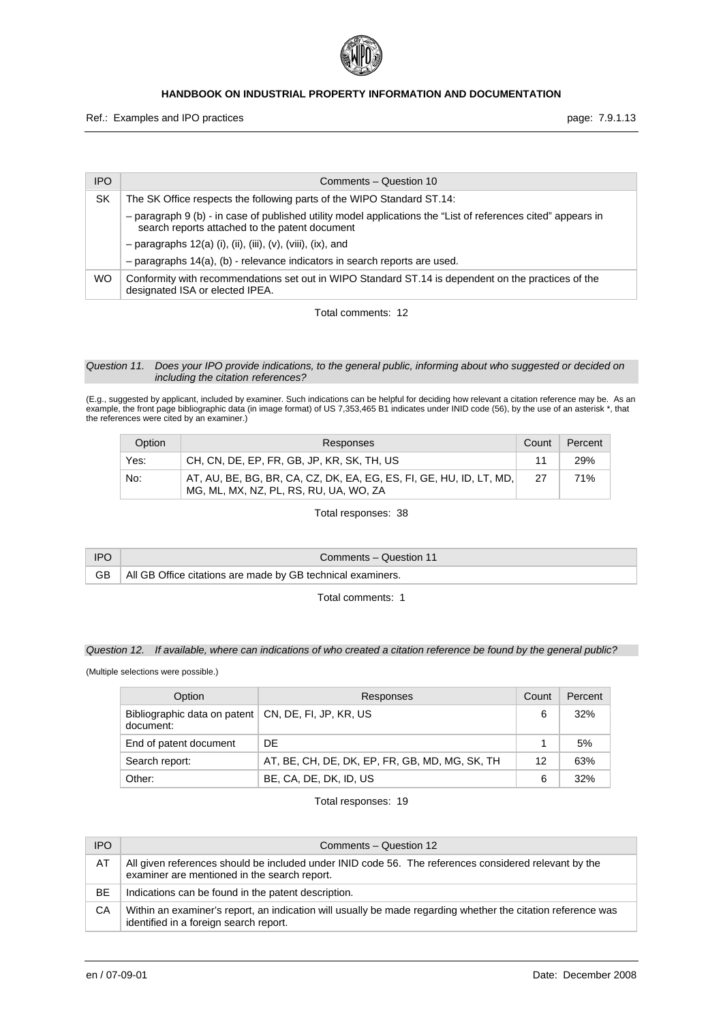

Ref.: Examples and IPO practices **page: 7.9.1.13** 

| <b>IPO</b> | Comments - Question 10                                                                                                                                          |
|------------|-----------------------------------------------------------------------------------------------------------------------------------------------------------------|
| SK         | The SK Office respects the following parts of the WIPO Standard ST.14:                                                                                          |
|            | - paragraph 9 (b) - in case of published utility model applications the "List of references cited" appears in<br>search reports attached to the patent document |
|            | $-$ paragraphs 12(a) (i), (ii), (iii), (v), (viii), (ix), and                                                                                                   |
|            | $-$ paragraphs 14(a), (b) - relevance indicators in search reports are used.                                                                                    |
| <b>WO</b>  | Conformity with recommendations set out in WIPO Standard ST.14 is dependent on the practices of the<br>designated ISA or elected IPEA.                          |

Total comments: 12

#### *Question 11. Does your IPO provide indications, to the general public, informing about who suggested or decided on including the citation references?*

(E.g., suggested by applicant, included by examiner. Such indications can be helpful for deciding how relevant a citation reference may be. As an example, the front page bibliographic data (in image format) of US 7,353,465 B1 indicates under INID code (56), by the use of an asterisk \*, that the references were cited by an examiner.)

| Option | Responses                                                                                                         | Count | Percent |
|--------|-------------------------------------------------------------------------------------------------------------------|-------|---------|
| Yes:   | CH, CN, DE, EP, FR, GB, JP, KR, SK, TH, US                                                                        |       | 29%     |
| No:    | , AT, AU, BE, BG, BR, CA, CZ, DK, EA, EG, ES, FI, GE, HU, ID, LT, MD, I<br>MG, ML, MX, NZ, PL, RS, RU, UA, WO, ZA | -27   | 71%     |

Total responses: 38

| <b>IPO</b> | Comments – Question 11                                      |
|------------|-------------------------------------------------------------|
| GB .       | All GB Office citations are made by GB technical examiners. |

Total comments: 1

## *Question 12. If available, where can indications of who created a citation reference be found by the general public?*

(Multiple selections were possible.)

| Option                                                             | Responses                                      | Count | Percent |
|--------------------------------------------------------------------|------------------------------------------------|-------|---------|
| Bibliographic data on patent   CN, DE, FI, JP, KR, US<br>document: |                                                | 6     | 32%     |
| End of patent document                                             | DF                                             |       | 5%      |
| Search report:                                                     | AT, BE, CH, DE, DK, EP, FR, GB, MD, MG, SK, TH | 12    | 63%     |
| Other:                                                             | BE, CA, DE, DK, ID, US                         | 6     | 32%     |

| <b>IPO</b> | Comments - Question 12                                                                                                                                 |
|------------|--------------------------------------------------------------------------------------------------------------------------------------------------------|
| AT         | All given references should be included under INID code 56. The references considered relevant by the<br>examiner are mentioned in the search report.  |
| <b>BE</b>  | Indications can be found in the patent description.                                                                                                    |
| CА         | Within an examiner's report, an indication will usually be made regarding whether the citation reference was<br>identified in a foreign search report. |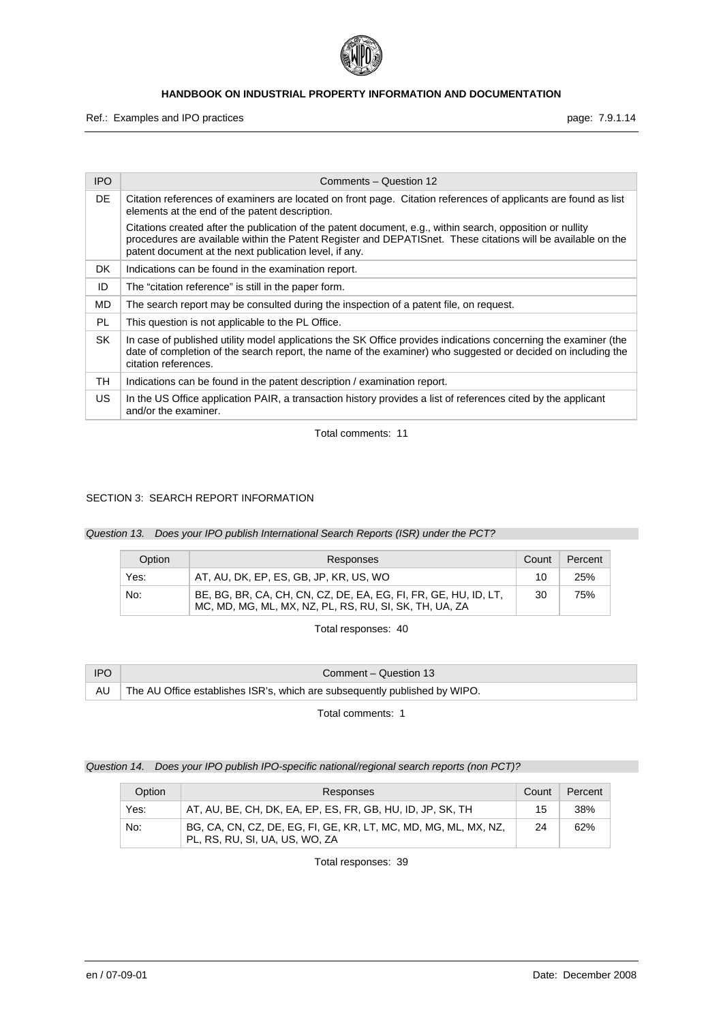

Ref.: Examples and IPO practices **page: 7.9.1.14** page: 7.9.1.14

| IPO       | Comments - Question 12                                                                                                                                                                                                                                                               |
|-----------|--------------------------------------------------------------------------------------------------------------------------------------------------------------------------------------------------------------------------------------------------------------------------------------|
| DE        | Citation references of examiners are located on front page. Citation references of applicants are found as list<br>elements at the end of the patent description.                                                                                                                    |
|           | Citations created after the publication of the patent document, e.g., within search, opposition or nullity<br>procedures are available within the Patent Register and DEPATISnet. These citations will be available on the<br>patent document at the next publication level, if any. |
| DK.       | Indications can be found in the examination report.                                                                                                                                                                                                                                  |
| ID        | The "citation reference" is still in the paper form.                                                                                                                                                                                                                                 |
| MD        | The search report may be consulted during the inspection of a patent file, on request.                                                                                                                                                                                               |
| PL        | This question is not applicable to the PL Office.                                                                                                                                                                                                                                    |
| <b>SK</b> | In case of published utility model applications the SK Office provides indications concerning the examiner (the<br>date of completion of the search report, the name of the examiner) who suggested or decided on including the<br>citation references.                              |
| TН        | Indications can be found in the patent description / examination report.                                                                                                                                                                                                             |
| US.       | In the US Office application PAIR, a transaction history provides a list of references cited by the applicant<br>and/or the examiner.                                                                                                                                                |

Total comments: 11

## SECTION 3: SEARCH REPORT INFORMATION

*Question 13. Does your IPO publish International Search Reports (ISR) under the PCT?* 

| Option | Responses                                                                                                                 | Count | Percent |
|--------|---------------------------------------------------------------------------------------------------------------------------|-------|---------|
| Yes:   | AT, AU, DK, EP, ES, GB, JP, KR, US, WO                                                                                    | 10    | 25%     |
| No:    | BE, BG, BR, CA, CH, CN, CZ, DE, EA, EG, FI, FR, GE, HU, ID, LT,<br>MC, MD, MG, ML, MX, NZ, PL, RS, RU, SI, SK, TH, UA, ZA | 30    | 75%     |

Total responses: 40

| <b>IPO</b> | Comment – Question 13                                                         |
|------------|-------------------------------------------------------------------------------|
|            | AU The AU Office establishes ISR's, which are subsequently published by WIPO. |

Total comments: 1

## *Question 14. Does your IPO publish IPO-specific national/regional search reports (non PCT)?*

| Option | Responses                                                                                         | Count | Percent |
|--------|---------------------------------------------------------------------------------------------------|-------|---------|
| Yes:   | AT, AU, BE, CH, DK, EA, EP, ES, FR, GB, HU, ID, JP, SK, TH                                        | 15    | 38%     |
| No:    | BG, CA, CN, CZ, DE, EG, FI, GE, KR, LT, MC, MD, MG, ML, MX, NZ,<br>PL, RS, RU, SI, UA, US, WO, ZA | 24    | 62%     |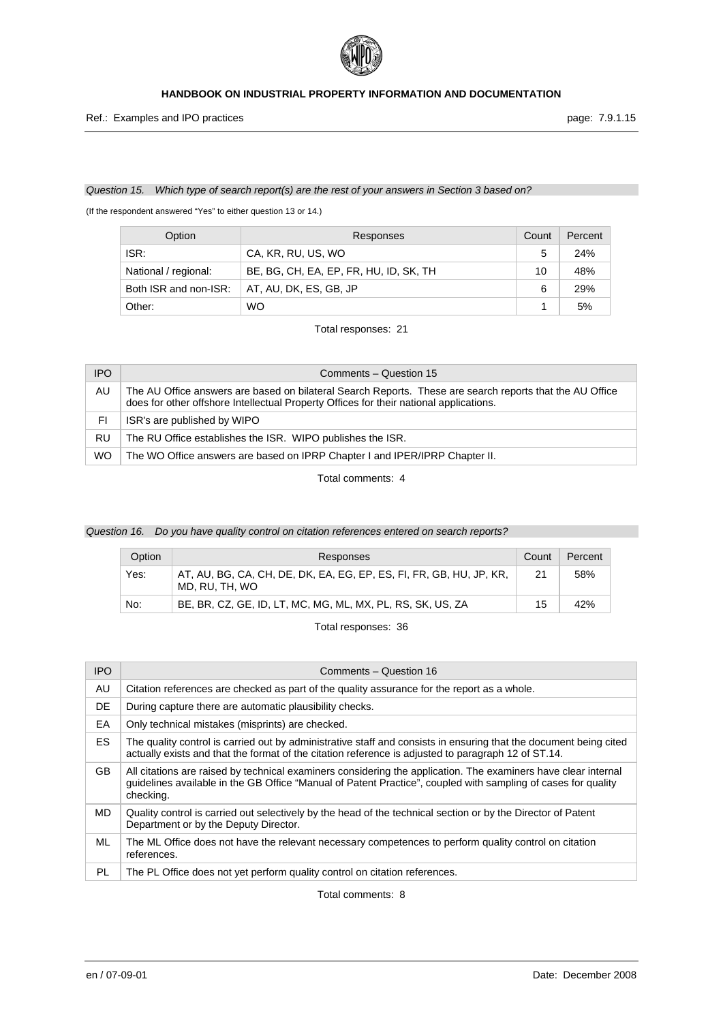

Ref.: Examples and IPO practices **page: 7.9.1.15** page: 7.9.1.15

#### *Question 15. Which type of search report(s) are the rest of your answers in Section 3 based on?*

(If the respondent answered "Yes" to either question 13 or 14.)

| Option                | Responses                              | Count | Percent |
|-----------------------|----------------------------------------|-------|---------|
| ISR:                  | CA, KR, RU, US, WO                     | 5     | 24%     |
| National / regional:  | BE, BG, CH, EA, EP, FR, HU, ID, SK, TH | 10    | 48%     |
| Both ISR and non-ISR: | AT, AU, DK, ES, GB, JP                 | 6     | 29%     |
| Other:                | <b>WO</b>                              |       | 5%      |

Total responses: 21

| <b>IPO</b> | Comments - Question 15                                                                                                                                                                             |
|------------|----------------------------------------------------------------------------------------------------------------------------------------------------------------------------------------------------|
| AU         | The AU Office answers are based on bilateral Search Reports. These are search reports that the AU Office<br>does for other offshore Intellectual Property Offices for their national applications. |
| FI.        | ISR's are published by WIPO                                                                                                                                                                        |
| RU         | The RU Office establishes the ISR. WIPO publishes the ISR.                                                                                                                                         |
| <b>WO</b>  | The WO Office answers are based on IPRP Chapter I and IPER/IPRP Chapter II.                                                                                                                        |

Total comments: 4

## *Question 16. Do you have quality control on citation references entered on search reports?*

| Option | Responses                                                                             | Count | Percent |
|--------|---------------------------------------------------------------------------------------|-------|---------|
| Yes:   | AT, AU, BG, CA, CH, DE, DK, EA, EG, EP, ES, FI, FR, GB, HU, JP, KR,<br>MD. RU. TH. WO | 21    | 58%     |
| No:    | BE, BR, CZ, GE, ID, LT, MC, MG, ML, MX, PL, RS, SK, US, ZA                            | 15    | 42%     |

Total responses: 36

| <b>IPO</b> | Comments - Question 16                                                                                                                                                                                                                       |
|------------|----------------------------------------------------------------------------------------------------------------------------------------------------------------------------------------------------------------------------------------------|
| AU         | Citation references are checked as part of the quality assurance for the report as a whole.                                                                                                                                                  |
| DE         | During capture there are automatic plausibility checks.                                                                                                                                                                                      |
| EA         | Only technical mistakes (misprints) are checked.                                                                                                                                                                                             |
| ES.        | The quality control is carried out by administrative staff and consists in ensuring that the document being cited<br>actually exists and that the format of the citation reference is adjusted to paragraph 12 of ST.14.                     |
| GB.        | All citations are raised by technical examiners considering the application. The examiners have clear internal<br>guidelines available in the GB Office "Manual of Patent Practice", coupled with sampling of cases for quality<br>checking. |
| MD.        | Quality control is carried out selectively by the head of the technical section or by the Director of Patent<br>Department or by the Deputy Director.                                                                                        |
| ML         | The ML Office does not have the relevant necessary competences to perform quality control on citation<br>references.                                                                                                                         |
| PL         | The PL Office does not yet perform quality control on citation references.                                                                                                                                                                   |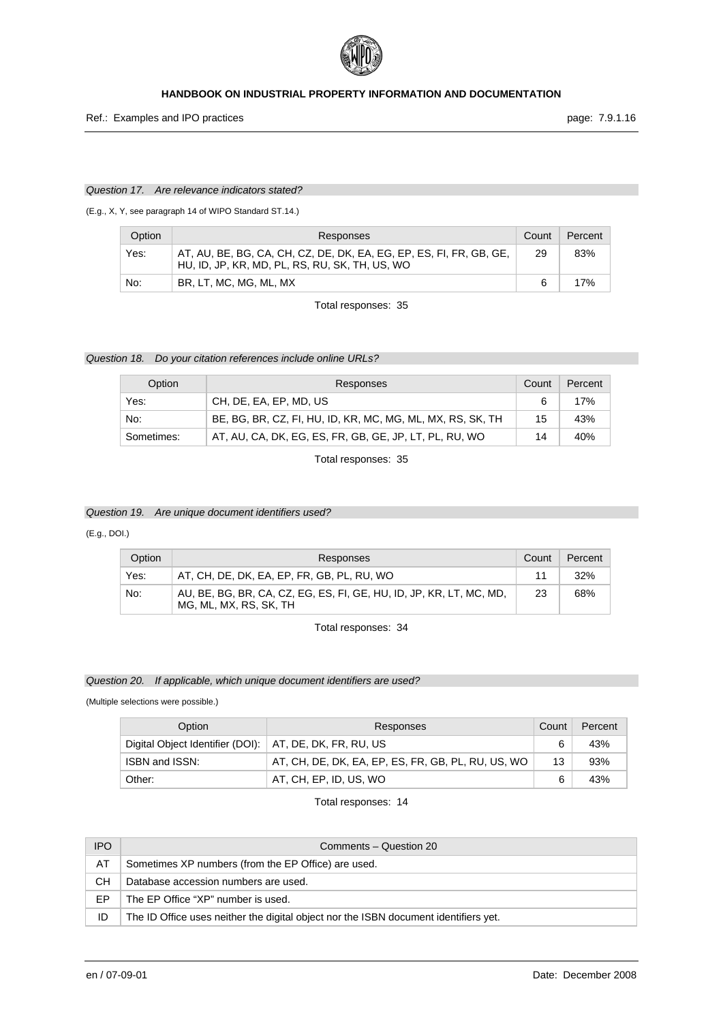

Ref.: Examples and IPO practices **page: 7.9.1.16** page: 7.9.1.16

#### *Question 17. Are relevance indicators stated?*

(E.g., X, Y, see paragraph 14 of WIPO Standard ST.14.)

| Option | Responses                                                                                                             | Count | Percent |
|--------|-----------------------------------------------------------------------------------------------------------------------|-------|---------|
| Yes:   | AT, AU, BE, BG, CA, CH, CZ, DE, DK, EA, EG, EP, ES, FI, FR, GB, GE,<br>HU, ID, JP, KR, MD, PL, RS, RU, SK, TH, US, WO | 29    | 83%     |
| No:    | BR, LT, MC, MG, ML, MX                                                                                                |       | 17%     |

Total responses: 35

## *Question 18. Do your citation references include online URLs?*

| Option     | Responses                                                  | Count | Percent |
|------------|------------------------------------------------------------|-------|---------|
| Yes:       | CH, DE, EA, EP, MD, US                                     | 6     | 17%     |
| No:        | BE, BG, BR, CZ, FI, HU, ID, KR, MC, MG, ML, MX, RS, SK, TH | 15    | 43%     |
| Sometimes: | AT, AU, CA, DK, EG, ES, FR, GB, GE, JP, LT, PL, RU, WO     | 14    | 40%     |

Total responses: 35

## *Question 19. Are unique document identifiers used?*

#### (E.g., DOI.)

| Option | Responses                                                                                     | Count | Percent |
|--------|-----------------------------------------------------------------------------------------------|-------|---------|
| Yes:   | AT, CH, DE, DK, EA, EP, FR, GB, PL, RU, WO                                                    | 11    | 32%     |
| No:    | AU, BE, BG, BR, CA, CZ, EG, ES, FI, GE, HU, ID, JP, KR, LT, MC, MD,<br>MG, ML, MX, RS, SK, TH | 23    | 68%     |

Total responses: 34

#### *Question 20. If applicable, which unique document identifiers are used?*

(Multiple selections were possible.)

| Option                                                    | Responses                                          | Count | Percent |
|-----------------------------------------------------------|----------------------------------------------------|-------|---------|
| Digital Object Identifier (DOI):   AT, DE, DK, FR, RU, US |                                                    |       | 43%     |
| ISBN and ISSN:                                            | AT, CH, DE, DK, EA, EP, ES, FR, GB, PL, RU, US, WO | 13    | 93%     |
| Other:                                                    | AT, CH, EP, ID, US, WO                             | 6     | 43%     |

| <b>IPO</b> | Comments – Question 20                                                               |
|------------|--------------------------------------------------------------------------------------|
| AT         | Sometimes XP numbers (from the EP Office) are used.                                  |
| CН         | Database accession numbers are used.                                                 |
| EP         | The EP Office "XP" number is used.                                                   |
| ID         | The ID Office uses neither the digital object nor the ISBN document identifiers yet. |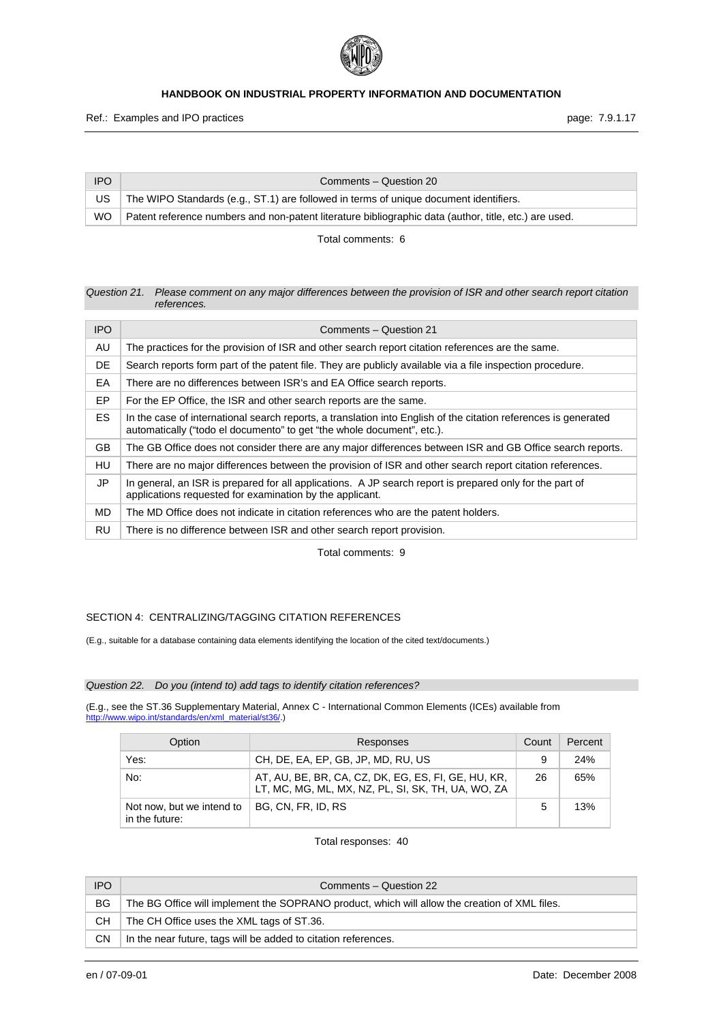

| <b>IPO</b> | Comments – Question 20                                                                                |
|------------|-------------------------------------------------------------------------------------------------------|
| US         | The WIPO Standards (e.g., ST.1) are followed in terms of unique document identifiers.                 |
| WO.        | Patent reference numbers and non-patent literature bibliographic data (author, title, etc.) are used. |

Total comments: 6

#### *Question 21. Please comment on any major differences between the provision of ISR and other search report citation references.*

| <b>IPO</b> | Comments - Question 21                                                                                                                                                                    |
|------------|-------------------------------------------------------------------------------------------------------------------------------------------------------------------------------------------|
| AU         | The practices for the provision of ISR and other search report citation references are the same.                                                                                          |
| DE         | Search reports form part of the patent file. They are publicly available via a file inspection procedure.                                                                                 |
| EA         | There are no differences between ISR's and EA Office search reports.                                                                                                                      |
| EP         | For the EP Office, the ISR and other search reports are the same.                                                                                                                         |
| ES.        | In the case of international search reports, a translation into English of the citation references is generated<br>automatically ("todo el documento" to get "the whole document", etc.). |
| GB         | The GB Office does not consider there are any major differences between ISR and GB Office search reports.                                                                                 |
| HU         | There are no major differences between the provision of ISR and other search report citation references.                                                                                  |
| JP         | In general, an ISR is prepared for all applications. A JP search report is prepared only for the part of<br>applications requested for examination by the applicant.                      |
| MD.        | The MD Office does not indicate in citation references who are the patent holders.                                                                                                        |
| RU         | There is no difference between ISR and other search report provision.                                                                                                                     |

Total comments: 9

## SECTION 4: CENTRALIZING/TAGGING CITATION REFERENCES

(E.g., suitable for a database containing data elements identifying the location of the cited text/documents.)

## *Question 22. Do you (intend to) add tags to identify citation references?*

(E.g., see the ST.36 Supplementary Material, Annex C - International Common Elements (ICEs) available from http://www.wipo.int/standards/en/xml\_material/st36/.)

| Option                                      | Responses                                                                                                 | Count | Percent |
|---------------------------------------------|-----------------------------------------------------------------------------------------------------------|-------|---------|
| Yes:                                        | CH, DE, EA, EP, GB, JP, MD, RU, US                                                                        | 9     | 24%     |
| No:                                         | AT, AU, BE, BR, CA, CZ, DK, EG, ES, FI, GE, HU, KR,<br>LT, MC, MG, ML, MX, NZ, PL, SI, SK, TH, UA, WO, ZA | 26    | 65%     |
| Not now, but we intend to<br>in the future: | BG. CN. FR. ID. RS                                                                                        | 5     | 13%     |

| <b>IPO</b> | Comments – Question 22                                                                        |
|------------|-----------------------------------------------------------------------------------------------|
| BG.        | The BG Office will implement the SOPRANO product, which will allow the creation of XML files. |
| CH.        | The CH Office uses the XML tags of ST.36.                                                     |
| <b>CN</b>  | In the near future, tags will be added to citation references.                                |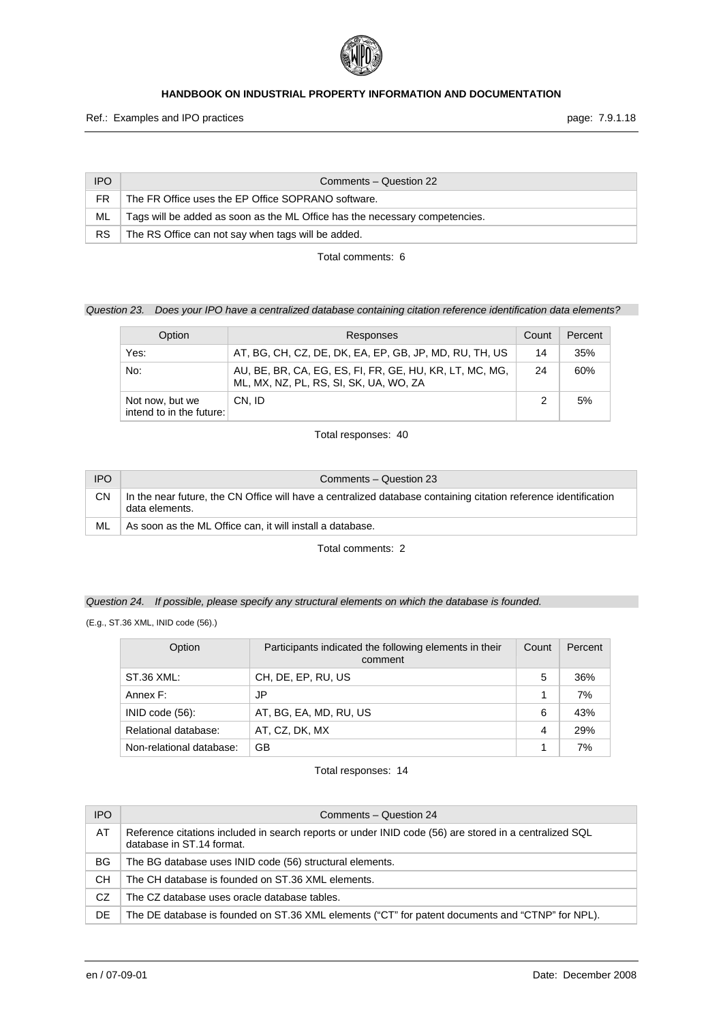

| <b>IPO</b> | Comments – Question 22                                                      |
|------------|-----------------------------------------------------------------------------|
| FR.        | The FR Office uses the EP Office SOPRANO software.                          |
| ML         | Tags will be added as soon as the ML Office has the necessary competencies. |
| <b>RS</b>  | The RS Office can not say when tags will be added.                          |

Total comments: 6

## *Question 23. Does your IPO have a centralized database containing citation reference identification data elements?*

| Option                                      | Responses                                                                                         | Count | Percent |
|---------------------------------------------|---------------------------------------------------------------------------------------------------|-------|---------|
| Yes:                                        | AT, BG, CH, CZ, DE, DK, EA, EP, GB, JP, MD, RU, TH, US                                            | 14    | 35%     |
| No:                                         | AU, BE, BR, CA, EG, ES, FI, FR, GE, HU, KR, LT, MC, MG,<br>ML, MX, NZ, PL, RS, SI, SK, UA, WO, ZA | 24    | 60%     |
| Not now, but we<br>intend to in the future: | CN. ID                                                                                            | 2     | 5%      |

Total responses: 40

| <b>IPO</b> | Comments - Question 23                                                                                                            |
|------------|-----------------------------------------------------------------------------------------------------------------------------------|
| CΝ         | In the near future, the CN Office will have a centralized database containing citation reference identification<br>data elements. |
| ML         | As soon as the ML Office can, it will install a database.                                                                         |

Total comments: 2

## *Question 24. If possible, please specify any structural elements on which the database is founded.*

(E.g., ST.36 XML, INID code (56).)

| Option                   | Participants indicated the following elements in their<br>comment | Count          | Percent |
|--------------------------|-------------------------------------------------------------------|----------------|---------|
| ST.36 XML:               | CH, DE, EP, RU, US                                                | 5              | 36%     |
| Annex F:                 | JP                                                                |                | 7%      |
| $INID code (56)$ :       | AT, BG, EA, MD, RU, US                                            | 6              | 43%     |
| Relational database:     | AT, CZ, DK, MX                                                    | $\overline{4}$ | 29%     |
| Non-relational database: | GВ                                                                |                | 7%      |

| <b>IPO</b> | Comments - Question 24                                                                                                              |
|------------|-------------------------------------------------------------------------------------------------------------------------------------|
| AT         | Reference citations included in search reports or under INID code (56) are stored in a centralized SQL<br>database in ST.14 format. |
| BG         | The BG database uses INID code (56) structural elements.                                                                            |
| CН         | The CH database is founded on ST.36 XML elements.                                                                                   |
| CZ         | The CZ database uses oracle database tables.                                                                                        |
| DE         | The DE database is founded on ST.36 XML elements ("CT" for patent documents and "CTNP" for NPL).                                    |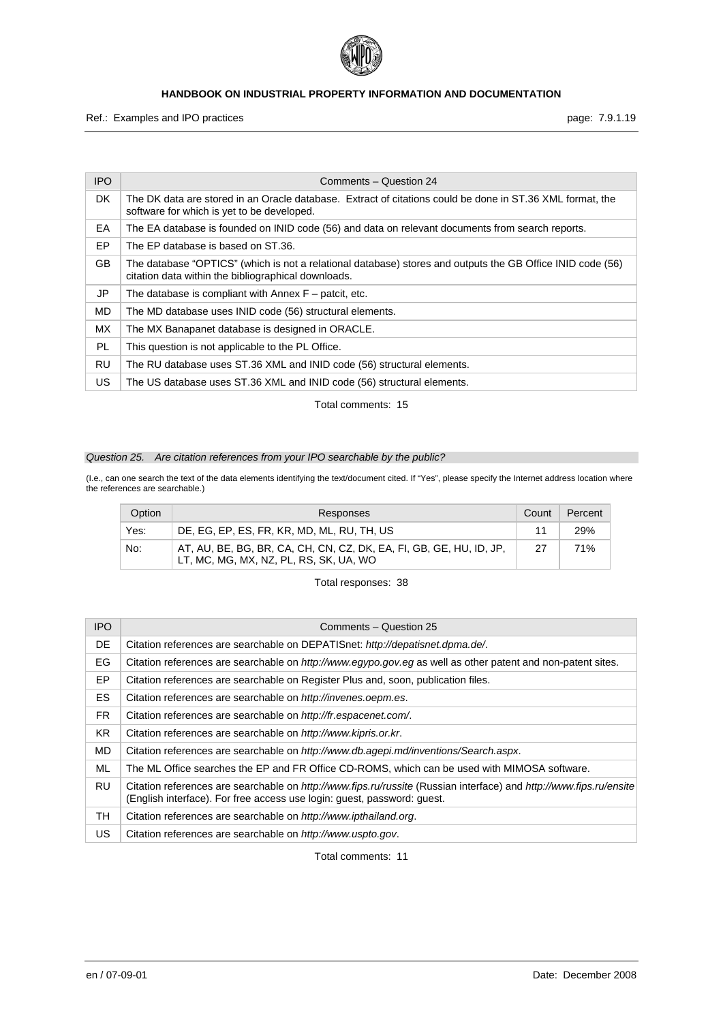

Ref.: Examples and IPO practices **page: 7.9.1.19** page: 7.9.1.19

| <b>IPO</b> | Comments - Question 24                                                                                                                                            |
|------------|-------------------------------------------------------------------------------------------------------------------------------------------------------------------|
| DK.        | The DK data are stored in an Oracle database. Extract of citations could be done in ST.36 XML format, the<br>software for which is yet to be developed.           |
| EA         | The EA database is founded on INID code (56) and data on relevant documents from search reports.                                                                  |
| EP.        | The EP database is based on ST.36.                                                                                                                                |
| GB.        | The database "OPTICS" (which is not a relational database) stores and outputs the GB Office INID code (56)<br>citation data within the bibliographical downloads. |
| JP         | The database is compliant with Annex $F -$ patcit, etc.                                                                                                           |
| MD.        | The MD database uses INID code (56) structural elements.                                                                                                          |
| <b>MX</b>  | The MX Banapanet database is designed in ORACLE.                                                                                                                  |
| PL.        | This question is not applicable to the PL Office.                                                                                                                 |
| RU         | The RU database uses ST.36 XML and INID code (56) structural elements.                                                                                            |
| US         | The US database uses ST.36 XML and INID code (56) structural elements.                                                                                            |

Total comments: 15

## *Question 25. Are citation references from your IPO searchable by the public?*

(I.e., can one search the text of the data elements identifying the text/document cited. If "Yes", please specify the Internet address location where the references are searchable.)

| Option | Responses                                                                                                     | Count | Percent    |
|--------|---------------------------------------------------------------------------------------------------------------|-------|------------|
| Yes:   | DE, EG, EP, ES, FR, KR, MD, ML, RU, TH, US                                                                    |       | <b>29%</b> |
| No:    | AT, AU, BE, BG, BR, CA, CH, CN, CZ, DK, EA, FI, GB, GE, HU, ID, JP,<br>LT, MC, MG, MX, NZ, PL, RS, SK, UA, WO | 27    | 71%        |

Total responses: 38

| <b>IPO</b> | Comments - Question 25                                                                                                                                                                        |
|------------|-----------------------------------------------------------------------------------------------------------------------------------------------------------------------------------------------|
| DE         | Citation references are searchable on DEPATISnet: http://depatisnet.dpma.de/.                                                                                                                 |
| EG         | Citation references are searchable on <i>http://www.egypo.gov.eg</i> as well as other patent and non-patent sites.                                                                            |
| EP.        | Citation references are searchable on Register Plus and, soon, publication files.                                                                                                             |
| <b>ES</b>  | Citation references are searchable on http://invenes.oepm.es.                                                                                                                                 |
| FR.        | Citation references are searchable on http://fr.espacenet.com/.                                                                                                                               |
| KR.        | Citation references are searchable on http://www.kipris.or.kr.                                                                                                                                |
| MD.        | Citation references are searchable on http://www.db.agepi.md/inventions/Search.aspx.                                                                                                          |
| ML         | The ML Office searches the EP and FR Office CD-ROMS, which can be used with MIMOSA software.                                                                                                  |
| RU         | Citation references are searchable on http://www.fips.ru/russite (Russian interface) and http://www.fips.ru/ensite<br>(English interface). For free access use login: guest, password: guest. |
| TН         | Citation references are searchable on http://www.ipthailand.org.                                                                                                                              |
| US.        | Citation references are searchable on http://www.uspto.gov.                                                                                                                                   |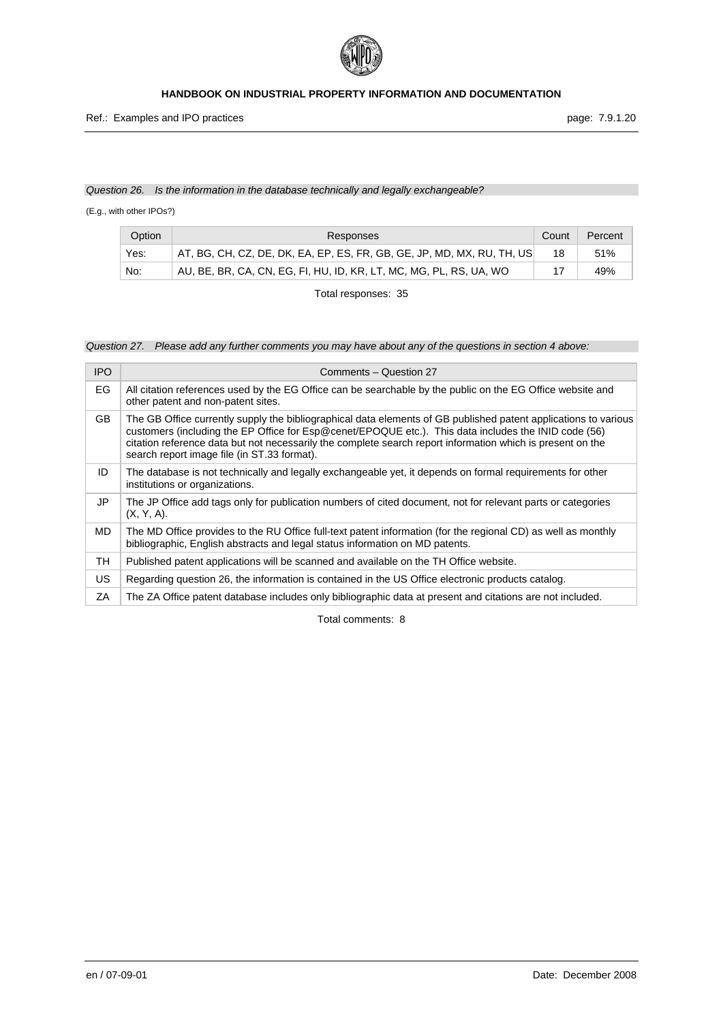

## *Question 26. Is the information in the database technically and legally exchangeable?*

(E.g., with other IPOs?)

| Option | Responses                                                              | Count | Percent |
|--------|------------------------------------------------------------------------|-------|---------|
| Yes:   | AT, BG, CH, CZ, DE, DK, EA, EP, ES, FR, GB, GE, JP, MD, MX, RU, TH, US |       | 51%     |
| No:    | AU, BE, BR, CA, CN, EG, FI, HU, ID, KR, LT, MC, MG, PL, RS, UA, WO     |       | 49%     |

Total responses: 35

*Question 27. Please add any further comments you may have about any of the questions in section 4 above:* 

| <b>IPO</b> | Comments - Question 27                                                                                                                                                                                                                                                                                                                                                               |
|------------|--------------------------------------------------------------------------------------------------------------------------------------------------------------------------------------------------------------------------------------------------------------------------------------------------------------------------------------------------------------------------------------|
| EG.        | All citation references used by the EG Office can be searchable by the public on the EG Office website and<br>other patent and non-patent sites.                                                                                                                                                                                                                                     |
| GB.        | The GB Office currently supply the bibliographical data elements of GB published patent applications to various<br>customers (including the EP Office for Esp@cenet/EPOQUE etc.). This data includes the INID code (56)<br>citation reference data but not necessarily the complete search report information which is present on the<br>search report image file (in ST.33 format). |
| ID         | The database is not technically and legally exchangeable yet, it depends on formal requirements for other<br>institutions or organizations.                                                                                                                                                                                                                                          |
| JP         | The JP Office add tags only for publication numbers of cited document, not for relevant parts or categories<br>$(X, Y, A)$ .                                                                                                                                                                                                                                                         |
| <b>MD</b>  | The MD Office provides to the RU Office full-text patent information (for the regional CD) as well as monthly<br>bibliographic, English abstracts and legal status information on MD patents.                                                                                                                                                                                        |
| TН         | Published patent applications will be scanned and available on the TH Office website.                                                                                                                                                                                                                                                                                                |
| <b>US</b>  | Regarding question 26, the information is contained in the US Office electronic products catalog.                                                                                                                                                                                                                                                                                    |
| ΖA         | The ZA Office patent database includes only bibliographic data at present and citations are not included.                                                                                                                                                                                                                                                                            |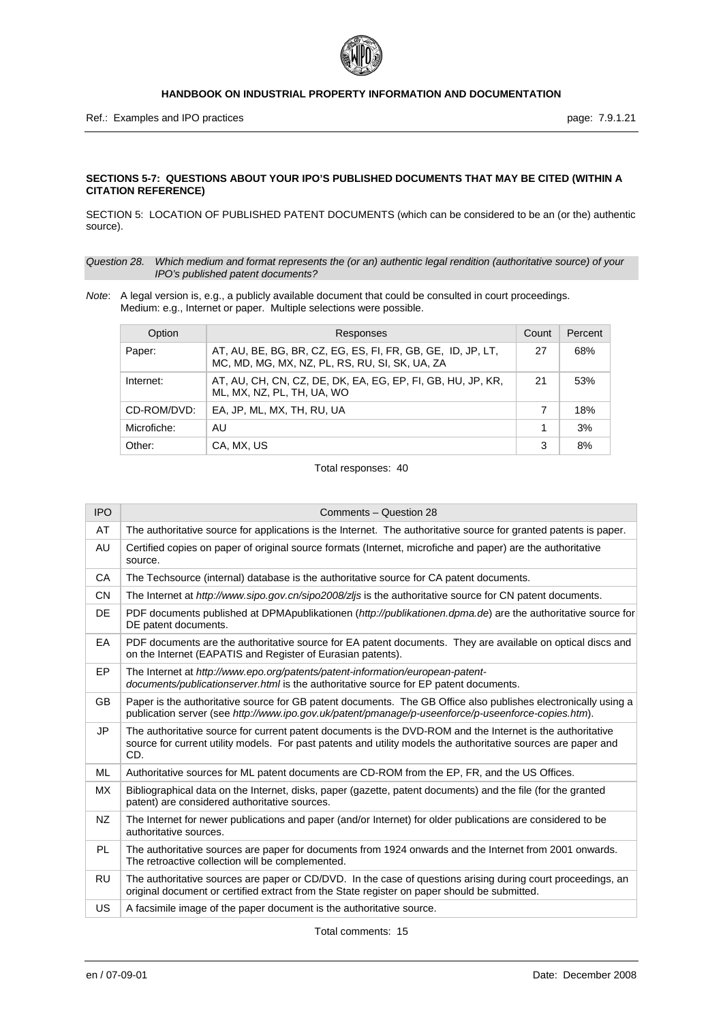

## **SECTIONS 5-7: QUESTIONS ABOUT YOUR IPO'S PUBLISHED DOCUMENTS THAT MAY BE CITED (WITHIN A CITATION REFERENCE)**

SECTION 5: LOCATION OF PUBLISHED PATENT DOCUMENTS (which can be considered to be an (or the) authentic source).

*Question 28. Which medium and format represents the (or an) authentic legal rendition (authoritative source) of your IPO's published patent documents?* 

*Note*: A legal version is, e.g., a publicly available document that could be consulted in court proceedings. Medium: e.g., Internet or paper. Multiple selections were possible.

| Option      | Responses                                                                                                     | Count | Percent |
|-------------|---------------------------------------------------------------------------------------------------------------|-------|---------|
| Paper:      | AT, AU, BE, BG, BR, CZ, EG, ES, FI, FR, GB, GE, ID, JP, LT,<br>MC, MD, MG, MX, NZ, PL, RS, RU, SI, SK, UA, ZA | 27    | 68%     |
| Internet:   | AT, AU, CH, CN, CZ, DE, DK, EA, EG, EP, FI, GB, HU, JP, KR,<br>ML, MX, NZ, PL, TH, UA, WO                     | 21    | 53%     |
| CD-ROM/DVD: | EA. JP. ML. MX. TH. RU. UA                                                                                    | 7     | 18%     |
| Microfiche: | AU                                                                                                            |       | 3%      |
| Other:      | CA, MX, US                                                                                                    | 3     | 8%      |

#### Total responses: 40

| <b>IPO</b> | Comments - Question 28                                                                                                                                                                                                              |
|------------|-------------------------------------------------------------------------------------------------------------------------------------------------------------------------------------------------------------------------------------|
| AT         | The authoritative source for applications is the Internet. The authoritative source for granted patents is paper.                                                                                                                   |
| AU         | Certified copies on paper of original source formats (Internet, microfiche and paper) are the authoritative<br>source.                                                                                                              |
| CA         | The Techsource (internal) database is the authoritative source for CA patent documents.                                                                                                                                             |
| <b>CN</b>  | The Internet at http://www.sipo.gov.cn/sipo2008/zlis is the authoritative source for CN patent documents.                                                                                                                           |
| DE         | PDF documents published at DPMApublikationen (http://publikationen.dpma.de) are the authoritative source for<br>DE patent documents.                                                                                                |
| EA         | PDF documents are the authoritative source for EA patent documents. They are available on optical discs and<br>on the Internet (EAPATIS and Register of Eurasian patents).                                                          |
| EP         | The Internet at http://www.epo.org/patents/patent-information/european-patent-<br>documents/publicationserver.html is the authoritative source for EP patent documents.                                                             |
| <b>GB</b>  | Paper is the authoritative source for GB patent documents. The GB Office also publishes electronically using a<br>publication server (see http://www.ipo.gov.uk/patent/pmanage/p-useenforce/p-useenforce-copies.htm).               |
| JP         | The authoritative source for current patent documents is the DVD-ROM and the Internet is the authoritative<br>source for current utility models. For past patents and utility models the authoritative sources are paper and<br>CD. |
| <b>ML</b>  | Authoritative sources for ML patent documents are CD-ROM from the EP, FR, and the US Offices.                                                                                                                                       |
| <b>MX</b>  | Bibliographical data on the Internet, disks, paper (gazette, patent documents) and the file (for the granted<br>patent) are considered authoritative sources.                                                                       |
| <b>NZ</b>  | The Internet for newer publications and paper (and/or Internet) for older publications are considered to be<br>authoritative sources.                                                                                               |
| <b>PL</b>  | The authoritative sources are paper for documents from 1924 onwards and the Internet from 2001 onwards.<br>The retroactive collection will be complemented.                                                                         |
| <b>RU</b>  | The authoritative sources are paper or CD/DVD. In the case of questions arising during court proceedings, an<br>original document or certified extract from the State register on paper should be submitted.                        |
| US         | A facsimile image of the paper document is the authoritative source.                                                                                                                                                                |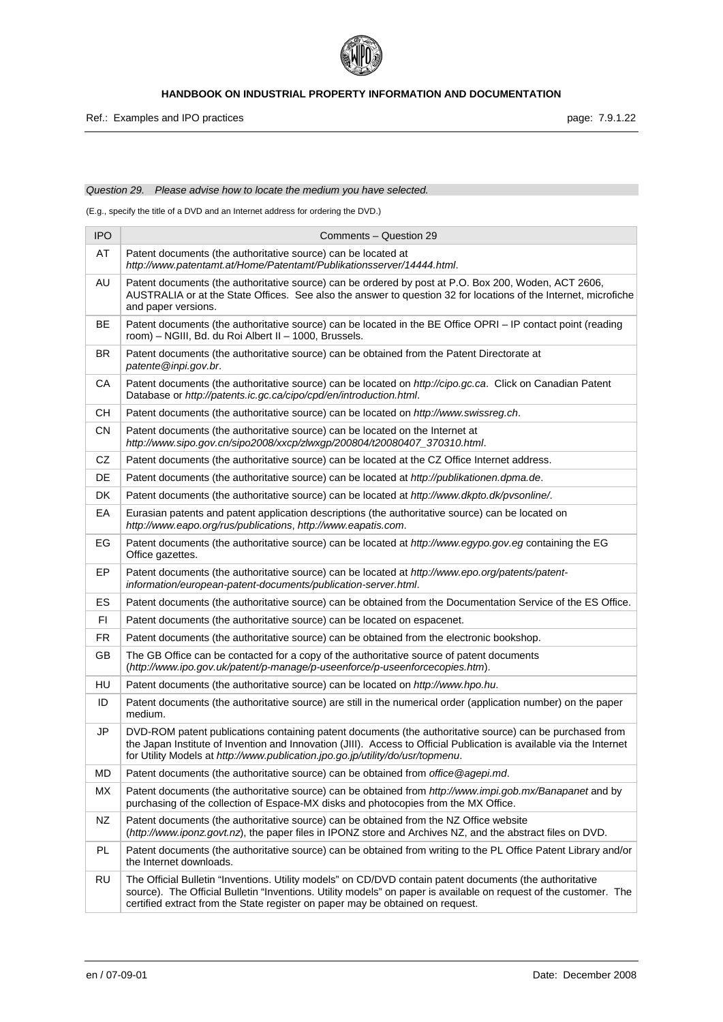

## *Question 29. Please advise how to locate the medium you have selected.*

(E.g., specify the title of a DVD and an Internet address for ordering the DVD.)

| <b>IPO</b> | Comments - Question 29                                                                                                                                                                                                                                                                                             |
|------------|--------------------------------------------------------------------------------------------------------------------------------------------------------------------------------------------------------------------------------------------------------------------------------------------------------------------|
| AT         | Patent documents (the authoritative source) can be located at<br>http://www.patentamt.at/Home/Patentamt/Publikationsserver/14444.html.                                                                                                                                                                             |
| AU         | Patent documents (the authoritative source) can be ordered by post at P.O. Box 200, Woden, ACT 2606,<br>AUSTRALIA or at the State Offices. See also the answer to question 32 for locations of the Internet, microfiche<br>and paper versions.                                                                     |
| BE         | Patent documents (the authoritative source) can be located in the BE Office OPRI – IP contact point (reading<br>room) - NGIII, Bd. du Roi Albert II - 1000, Brussels.                                                                                                                                              |
| <b>BR</b>  | Patent documents (the authoritative source) can be obtained from the Patent Directorate at<br>patente@inpi.gov.br.                                                                                                                                                                                                 |
| CA         | Patent documents (the authoritative source) can be located on http://cipo.gc.ca. Click on Canadian Patent<br>Database or http://patents.ic.gc.ca/cipo/cpd/en/introduction.html.                                                                                                                                    |
| CН         | Patent documents (the authoritative source) can be located on http://www.swissreg.ch.                                                                                                                                                                                                                              |
| CN         | Patent documents (the authoritative source) can be located on the Internet at<br>http://www.sipo.gov.cn/sipo2008/xxcp/zlwxgp/200804/t20080407_370310.html.                                                                                                                                                         |
| CZ         | Patent documents (the authoritative source) can be located at the CZ Office Internet address.                                                                                                                                                                                                                      |
| DE         | Patent documents (the authoritative source) can be located at http://publikationen.dpma.de.                                                                                                                                                                                                                        |
| DK         | Patent documents (the authoritative source) can be located at http://www.dkpto.dk/pvsonline/.                                                                                                                                                                                                                      |
| EA         | Eurasian patents and patent application descriptions (the authoritative source) can be located on<br>http://www.eapo.org/rus/publications, http://www.eapatis.com.                                                                                                                                                 |
| EG         | Patent documents (the authoritative source) can be located at http://www.egypo.gov.eg containing the EG<br>Office gazettes.                                                                                                                                                                                        |
| EP         | Patent documents (the authoritative source) can be located at http://www.epo.org/patents/patent-<br>information/european-patent-documents/publication-server.html.                                                                                                                                                 |
| <b>ES</b>  | Patent documents (the authoritative source) can be obtained from the Documentation Service of the ES Office.                                                                                                                                                                                                       |
| FI         | Patent documents (the authoritative source) can be located on espacenet.                                                                                                                                                                                                                                           |
| FR         | Patent documents (the authoritative source) can be obtained from the electronic bookshop.                                                                                                                                                                                                                          |
| GB         | The GB Office can be contacted for a copy of the authoritative source of patent documents<br>(http://www.ipo.gov.uk/patent/p-manage/p-useenforce/p-useenforcecopies.htm).                                                                                                                                          |
| HU         | Patent documents (the authoritative source) can be located on http://www.hpo.hu.                                                                                                                                                                                                                                   |
| ID         | Patent documents (the authoritative source) are still in the numerical order (application number) on the paper<br>medium.                                                                                                                                                                                          |
| <b>JP</b>  | DVD-ROM patent publications containing patent documents (the authoritative source) can be purchased from<br>the Japan Institute of Invention and Innovation (JIII). Access to Official Publication is available via the Internet<br>for Utility Models at http://www.publication.jpo.go.jp/utility/do/usr/topmenu. |
| MD         | Patent documents (the authoritative source) can be obtained from office@agepi.md.                                                                                                                                                                                                                                  |
| MX         | Patent documents (the authoritative source) can be obtained from http://www.impi.gob.mx/Banapanet and by<br>purchasing of the collection of Espace-MX disks and photocopies from the MX Office.                                                                                                                    |
| NZ         | Patent documents (the authoritative source) can be obtained from the NZ Office website<br>(http://www.iponz.govt.nz), the paper files in IPONZ store and Archives NZ, and the abstract files on DVD.                                                                                                               |
| PL         | Patent documents (the authoritative source) can be obtained from writing to the PL Office Patent Library and/or<br>the Internet downloads.                                                                                                                                                                         |
| <b>RU</b>  | The Official Bulletin "Inventions. Utility models" on CD/DVD contain patent documents (the authoritative<br>source). The Official Bulletin "Inventions. Utility models" on paper is available on request of the customer. The<br>certified extract from the State register on paper may be obtained on request.    |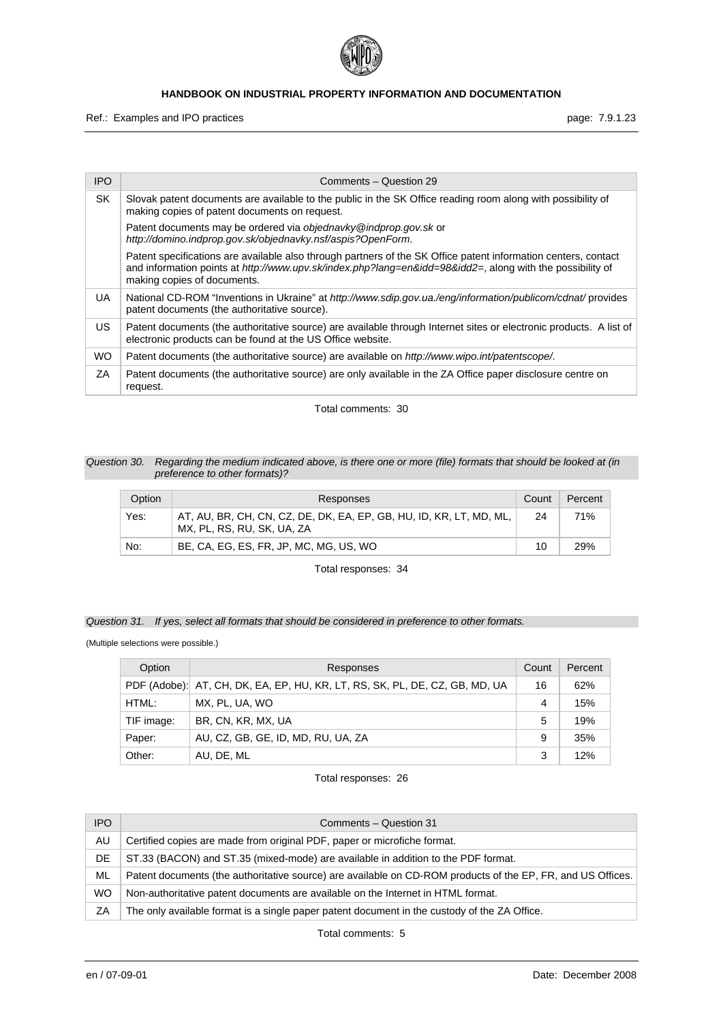

Ref.: Examples and IPO practices **page: 7.9.1.23** page: 7.9.1.23

| <b>IPO</b> | Comments - Question 29                                                                                                                                                                                                                                     |
|------------|------------------------------------------------------------------------------------------------------------------------------------------------------------------------------------------------------------------------------------------------------------|
| SK         | Slovak patent documents are available to the public in the SK Office reading room along with possibility of<br>making copies of patent documents on request.                                                                                               |
|            | Patent documents may be ordered via objednavky@indprop.gov.sk or<br>http://domino.indprop.gov.sk/objednavky.nsf/aspis?OpenForm.                                                                                                                            |
|            | Patent specifications are available also through partners of the SK Office patent information centers, contact<br>and information points at http://www.upv.sk/index.php?lang=en&idd=98&idd2=, along with the possibility of<br>making copies of documents. |
| UA         | National CD-ROM "Inventions in Ukraine" at http://www.sdip.gov.ua./eng/information/publicom/cdnat/ provides<br>patent documents (the authoritative source).                                                                                                |
| US.        | Patent documents (the authoritative source) are available through Internet sites or electronic products. A list of<br>electronic products can be found at the US Office website.                                                                           |
| <b>WO</b>  | Patent documents (the authoritative source) are available on http://www.wipo.int/patentscope/.                                                                                                                                                             |
| ΖA         | Patent documents (the authoritative source) are only available in the ZA Office paper disclosure centre on<br>request.                                                                                                                                     |

Total comments: 30

#### *Question 30. Regarding the medium indicated above, is there one or more (file) formats that should be looked at (in preference to other formats)?*

| Option | Responses                                                                                         | Count | Percent |
|--------|---------------------------------------------------------------------------------------------------|-------|---------|
| Yes:   | AT, AU, BR, CH, CN, CZ, DE, DK, EA, EP, GB, HU, ID, KR, LT, MD, ML,<br>MX, PL, RS, RU, SK, UA, ZA | 24    | 71%     |
| No:    | BE, CA, EG, ES, FR, JP, MC, MG, US, WO                                                            | 10    | 29%     |

Total responses: 34

*Question 31. If yes, select all formats that should be considered in preference to other formats.* 

(Multiple selections were possible.)

| Option     | Responses                                                                   | Count | Percent |
|------------|-----------------------------------------------------------------------------|-------|---------|
|            | PDF (Adobe): AT, CH, DK, EA, EP, HU, KR, LT, RS, SK, PL, DE, CZ, GB, MD, UA | 16    | 62%     |
| HTML:      | MX, PL, UA, WO                                                              | 4     | 15%     |
| TIF image: | BR, CN, KR, MX, UA                                                          | 5     | 19%     |
| Paper:     | AU, CZ, GB, GE, ID, MD, RU, UA, ZA                                          | 9     | 35%     |
| Other:     | AU. DE. ML                                                                  | 3     | 12%     |

Total responses: 26

| IPO.      | Comments - Question 31                                                                                      |
|-----------|-------------------------------------------------------------------------------------------------------------|
| AU        | Certified copies are made from original PDF, paper or microfiche format.                                    |
| DE        | ST.33 (BACON) and ST.35 (mixed-mode) are available in addition to the PDF format.                           |
| ML        | Patent documents (the authoritative source) are available on CD-ROM products of the EP, FR, and US Offices. |
| <b>WO</b> | Non-authoritative patent documents are available on the Internet in HTML format.                            |
| ΖA        | The only available format is a single paper patent document in the custody of the ZA Office.                |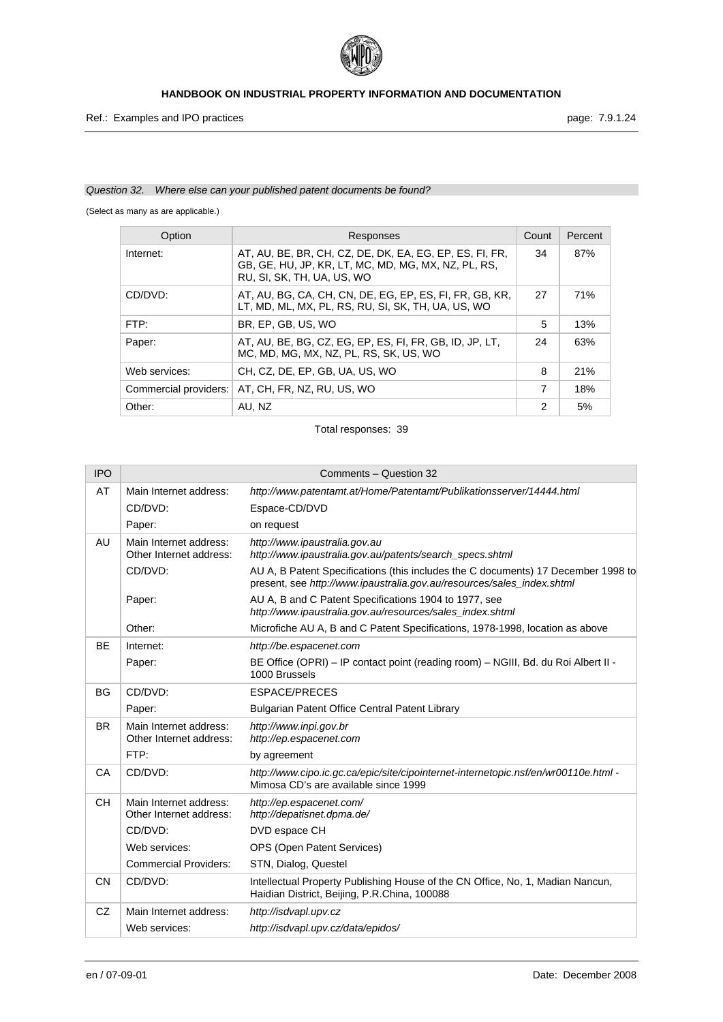

## *Question 32. Where else can your published patent documents be found?*

(Select as many as are applicable.)

| Option                | Responses                                                                                                                                    | Count | Percent |
|-----------------------|----------------------------------------------------------------------------------------------------------------------------------------------|-------|---------|
| Internet:             | AT, AU, BE, BR, CH, CZ, DE, DK, EA, EG, EP, ES, FI, FR,<br>GB, GE, HU, JP, KR, LT, MC, MD, MG, MX, NZ, PL, RS,<br>RU, SI, SK, TH, UA, US, WO | 34    | 87%     |
| CD/DVD:               | AT, AU, BG, CA, CH, CN, DE, EG, EP, ES, FI, FR, GB, KR,<br>LT, MD, ML, MX, PL, RS, RU, SI, SK, TH, UA, US, WO                                | 27    | 71%     |
| FTP:                  | BR. EP. GB. US. WO                                                                                                                           | 5     | 13%     |
| Paper:                | AT, AU, BE, BG, CZ, EG, EP, ES, FI, FR, GB, ID, JP, LT,<br>MC, MD, MG, MX, NZ, PL, RS, SK, US, WO                                            | 24    | 63%     |
| Web services:         | CH, CZ, DE, EP, GB, UA, US, WO                                                                                                               | 8     | 21%     |
| Commercial providers: | AT, CH, FR, NZ, RU, US, WO                                                                                                                   | 7     | 18%     |
| Other:                | AU, NZ                                                                                                                                       | 2     | 5%      |

| <b>IPO</b> |                                                   | Comments - Question 32                                                                                                                                      |
|------------|---------------------------------------------------|-------------------------------------------------------------------------------------------------------------------------------------------------------------|
| AT         | Main Internet address:                            | http://www.patentamt.at/Home/Patentamt/Publikationsserver/14444.html                                                                                        |
|            | CD/DVD:                                           | Espace-CD/DVD                                                                                                                                               |
|            | Paper:                                            | on request                                                                                                                                                  |
| AU         | Main Internet address:<br>Other Internet address: | http://www.ipaustralia.gov.au<br>http://www.ipaustralia.gov.au/patents/search_specs.shtml                                                                   |
|            | CD/DVD:                                           | AU A, B Patent Specifications (this includes the C documents) 17 December 1998 to<br>present, see http://www.ipaustralia.gov.au/resources/sales_index.shtml |
|            | Paper:                                            | AU A, B and C Patent Specifications 1904 to 1977, see<br>http://www.ipaustralia.gov.au/resources/sales_index.shtml                                          |
|            | Other:                                            | Microfiche AU A, B and C Patent Specifications, 1978-1998, location as above                                                                                |
| <b>BE</b>  | Internet:                                         | http://be.espacenet.com                                                                                                                                     |
|            | Paper:                                            | BE Office (OPRI) – IP contact point (reading room) – NGIII, Bd. du Roi Albert II -<br>1000 Brussels                                                         |
| <b>BG</b>  | CD/DVD:                                           | <b>ESPACE/PRECES</b>                                                                                                                                        |
|            | Paper:                                            | Bulgarian Patent Office Central Patent Library                                                                                                              |
| <b>BR</b>  | Main Internet address:<br>Other Internet address: | http://www.inpi.gov.br<br>http://ep.espacenet.com                                                                                                           |
|            | FTP:                                              | by agreement                                                                                                                                                |
| CA         | CD/DVD:                                           | http://www.cipo.ic.gc.ca/epic/site/cipointernet-internetopic.nsf/en/wr00110e.html -<br>Mimosa CD's are available since 1999                                 |
| <b>CH</b>  | Main Internet address:<br>Other Internet address: | http://ep.espacenet.com/<br>http://depatisnet.dpma.de/                                                                                                      |
|            | CD/DVD:                                           | DVD espace CH                                                                                                                                               |
|            | Web services:                                     | OPS (Open Patent Services)                                                                                                                                  |
|            | <b>Commercial Providers:</b>                      | STN, Dialog, Questel                                                                                                                                        |
| <b>CN</b>  | CD/DVD:                                           | Intellectual Property Publishing House of the CN Office, No, 1, Madian Nancun,<br>Haidian District, Beijing, P.R.China, 100088                              |
| <b>CZ</b>  | Main Internet address:                            | http://isdvapl.upv.cz                                                                                                                                       |
|            | Web services:                                     | http://isdvapl.upv.cz/data/epidos/                                                                                                                          |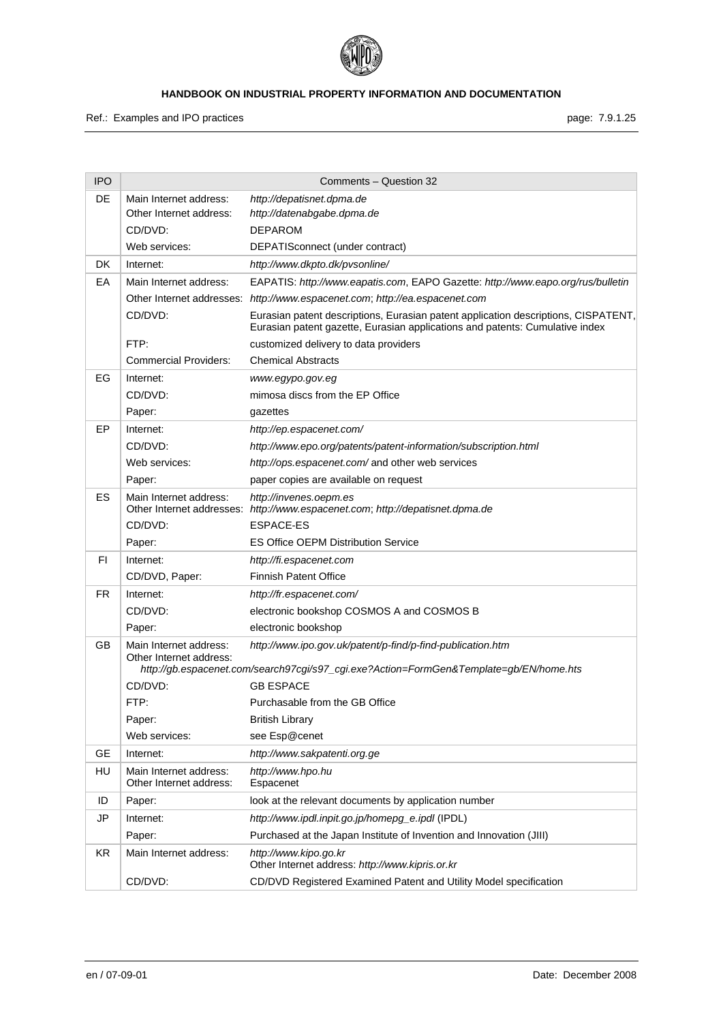

Ref.: Examples and IPO practices **page: 7.9.1.25** page: 7.9.1.25

| <b>IPO</b> |                                                     | Comments - Question 32                                                                                                                                             |
|------------|-----------------------------------------------------|--------------------------------------------------------------------------------------------------------------------------------------------------------------------|
| DE         | Main Internet address:                              | http://depatisnet.dpma.de                                                                                                                                          |
|            | Other Internet address:                             | http://datenabgabe.dpma.de                                                                                                                                         |
|            | CD/DVD:                                             | <b>DEPAROM</b>                                                                                                                                                     |
|            | Web services:                                       | DEPATISconnect (under contract)                                                                                                                                    |
| DK         | Internet:                                           | http://www.dkpto.dk/pvsonline/                                                                                                                                     |
| EA         | Main Internet address:                              | EAPATIS: http://www.eapatis.com, EAPO Gazette: http://www.eapo.org/rus/bulletin                                                                                    |
|            |                                                     | Other Internet addresses: http://www.espacenet.com; http://ea.espacenet.com                                                                                        |
|            | CD/DVD:                                             | Eurasian patent descriptions, Eurasian patent application descriptions, CISPATENT,<br>Eurasian patent gazette, Eurasian applications and patents: Cumulative index |
|            | FTP:                                                | customized delivery to data providers                                                                                                                              |
|            | <b>Commercial Providers:</b>                        | <b>Chemical Abstracts</b>                                                                                                                                          |
| EG         | Internet:                                           | www.egypo.gov.eg                                                                                                                                                   |
|            | CD/DVD:                                             | mimosa discs from the EP Office                                                                                                                                    |
|            | Paper:                                              | gazettes                                                                                                                                                           |
| EP         | Internet:                                           | http://ep.espacenet.com/                                                                                                                                           |
|            | CD/DVD:                                             | http://www.epo.org/patents/patent-information/subscription.html                                                                                                    |
|            | Web services:                                       | http://ops.espacenet.com/ and other web services                                                                                                                   |
|            | Paper:                                              | paper copies are available on request                                                                                                                              |
| ES         | Main Internet address:<br>Other Internet addresses: | http://invenes.oepm.es<br>http://www.espacenet.com; http://depatisnet.dpma.de                                                                                      |
|            | CD/DVD:                                             | ESPACE-ES                                                                                                                                                          |
|            | Paper:                                              | <b>ES Office OEPM Distribution Service</b>                                                                                                                         |
| FI.        | Internet:                                           | http://fi.espacenet.com                                                                                                                                            |
|            | CD/DVD, Paper:                                      | <b>Finnish Patent Office</b>                                                                                                                                       |
| FR.        | Internet:                                           | http://fr.espacenet.com/                                                                                                                                           |
|            | CD/DVD:                                             | electronic bookshop COSMOS A and COSMOS B                                                                                                                          |
|            | Paper:                                              | electronic bookshop                                                                                                                                                |
| GВ         | Main Internet address:<br>Other Internet address:   | http://www.ipo.gov.uk/patent/p-find/p-find-publication.htm                                                                                                         |
|            | CD/DVD:                                             | http://gb.espacenet.com/search97cgi/s97_cgi.exe?Action=FormGen&Template=gb/EN/home.hts<br><b>GB ESPACE</b>                                                         |
|            | FTP:                                                | Purchasable from the GB Office                                                                                                                                     |
|            |                                                     |                                                                                                                                                                    |
|            | Paper:<br>Web services:                             | <b>British Library</b><br>see Esp@cenet                                                                                                                            |
| <b>GE</b>  | Internet:                                           | http://www.sakpatenti.org.ge                                                                                                                                       |
| HU         |                                                     |                                                                                                                                                                    |
|            | Main Internet address:<br>Other Internet address:   | http://www.hpo.hu<br>Espacenet                                                                                                                                     |
| ID         | Paper:                                              | look at the relevant documents by application number                                                                                                               |
| JP         | Internet:                                           | http://www.ipdl.inpit.go.jp/homepg_e.ipdl (IPDL)                                                                                                                   |
|            | Paper:                                              | Purchased at the Japan Institute of Invention and Innovation (JIII)                                                                                                |
| <b>KR</b>  | Main Internet address:                              | http://www.kipo.go.kr<br>Other Internet address: http://www.kipris.or.kr                                                                                           |
|            | CD/DVD:                                             | CD/DVD Registered Examined Patent and Utility Model specification                                                                                                  |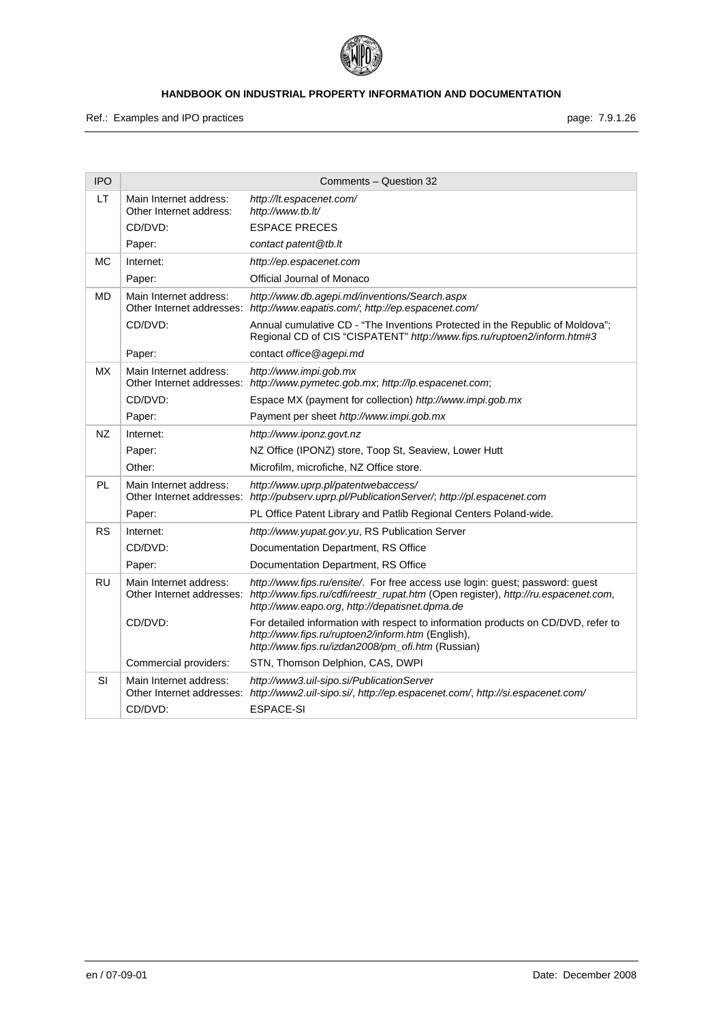

Ref.: Examples and IPO practices **page: 7.9.1.26** page: 7.9.1.26

| <b>IPO</b> |                                                     | Comments - Question 32                                                                                                                                                                                                                          |
|------------|-----------------------------------------------------|-------------------------------------------------------------------------------------------------------------------------------------------------------------------------------------------------------------------------------------------------|
| LT         | Main Internet address:<br>Other Internet address:   | http://lt.espacenet.com/<br>http://www.tb.lt/                                                                                                                                                                                                   |
|            | CD/DVD:                                             | <b>ESPACE PRECES</b>                                                                                                                                                                                                                            |
|            | Paper:                                              | contact patent@tb.lt                                                                                                                                                                                                                            |
| <b>MC</b>  | Internet:                                           | http://ep.espacenet.com                                                                                                                                                                                                                         |
|            | Paper:                                              | Official Journal of Monaco                                                                                                                                                                                                                      |
| MD         | Main Internet address:<br>Other Internet addresses: | http://www.db.agepi.md/inventions/Search.aspx<br>http://www.eapatis.com/; http://ep.espacenet.com/                                                                                                                                              |
|            | CD/DVD:                                             | Annual cumulative CD - "The Inventions Protected in the Republic of Moldova";<br>Regional CD of CIS "CISPATENT" http://www.fips.ru/ruptoen2/inform.htm#3                                                                                        |
|            | Paper:                                              | contact office @agepi.md                                                                                                                                                                                                                        |
| МX         | Main Internet address:                              | http://www.impi.gob.mx<br>Other Internet addresses: http://www.pymetec.gob.mx; http://lp.espacenet.com;                                                                                                                                         |
|            | CD/DVD:                                             | Espace MX (payment for collection) http://www.impi.gob.mx                                                                                                                                                                                       |
|            | Paper:                                              | Payment per sheet http://www.impi.gob.mx                                                                                                                                                                                                        |
| NZ.        | Internet:                                           | http://www.iponz.govt.nz                                                                                                                                                                                                                        |
|            | Paper:                                              | NZ Office (IPONZ) store, Toop St, Seaview, Lower Hutt                                                                                                                                                                                           |
|            | Other:                                              | Microfilm, microfiche, NZ Office store.                                                                                                                                                                                                         |
| PL         | Main Internet address:                              | http://www.uprp.pl/patentwebaccess/<br>Other Internet addresses: http://pubserv.uprp.pl/PublicationServer/; http://pl.espacenet.com                                                                                                             |
|            | Paper:                                              | PL Office Patent Library and Patlib Regional Centers Poland-wide.                                                                                                                                                                               |
| <b>RS</b>  | Internet:                                           | http://www.yupat.gov.yu, RS Publication Server                                                                                                                                                                                                  |
|            | CD/DVD:                                             | Documentation Department, RS Office                                                                                                                                                                                                             |
|            | Paper:                                              | Documentation Department, RS Office                                                                                                                                                                                                             |
| <b>RU</b>  | Main Internet address:                              | http://www.fips.ru/ensite/. For free access use login: guest; password: guest<br>Other Internet addresses: http://www.fips.ru/cdfi/reestr_rupat.htm (Open register), http://ru.espacenet.com,<br>http://www.eapo.org, http://depatisnet.dpma.de |
|            | CD/DVD:                                             | For detailed information with respect to information products on CD/DVD, refer to<br>http://www.fips.ru/ruptoen2/inform.htm (English),<br>http://www.fips.ru/izdan2008/pm_ofi.htm (Russian)                                                     |
|            | Commercial providers:                               | STN, Thomson Delphion, CAS, DWPI                                                                                                                                                                                                                |
| SI         | Main Internet address:<br>Other Internet addresses: | http://www3.uil-sipo.si/PublicationServer<br>http://www2.uil-sipo.si/, http://ep.espacenet.com/, http://si.espacenet.com/                                                                                                                       |
|            | CD/DVD:                                             | <b>ESPACE-SI</b>                                                                                                                                                                                                                                |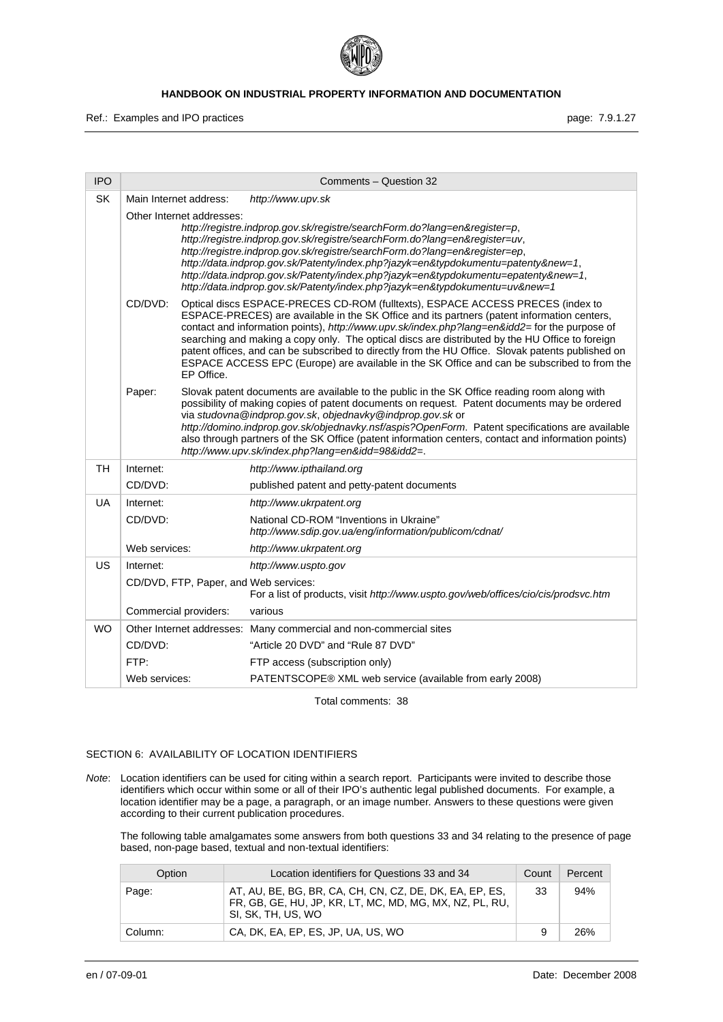

Ref.: Examples and IPO practices **page: 7.9.1.27** page: 7.9.1.27

| <b>IPO</b> |                                                                                                                                                                                                                                                                                                                                                                                                                                                                                                                              | Comments - Question 32                                                                                                                                                                                                                                                                                                                                                                                                                                                                                                                                                               |  |
|------------|------------------------------------------------------------------------------------------------------------------------------------------------------------------------------------------------------------------------------------------------------------------------------------------------------------------------------------------------------------------------------------------------------------------------------------------------------------------------------------------------------------------------------|--------------------------------------------------------------------------------------------------------------------------------------------------------------------------------------------------------------------------------------------------------------------------------------------------------------------------------------------------------------------------------------------------------------------------------------------------------------------------------------------------------------------------------------------------------------------------------------|--|
| <b>SK</b>  | Main Internet address:                                                                                                                                                                                                                                                                                                                                                                                                                                                                                                       | http://www.upv.sk                                                                                                                                                                                                                                                                                                                                                                                                                                                                                                                                                                    |  |
|            | Other Internet addresses:<br>http://registre.indprop.gov.sk/registre/searchForm.do?lang=en&register=p,<br>http://registre.indprop.gov.sk/registre/searchForm.do?lang=en&register=uv,<br>http://registre.indprop.gov.sk/registre/searchForm.do?lang=en&register=ep,<br>http://data.indprop.gov.sk/Patenty/index.php?jazyk=en&typdokumentu=patenty&new=1,<br>http://data.indprop.gov.sk/Patenty/index.php?jazyk=en&typdokumentu=epatenty&new=1,<br>http://data.indprop.gov.sk/Patenty/index.php?jazyk=en&typdokumentu=uv&new=1 |                                                                                                                                                                                                                                                                                                                                                                                                                                                                                                                                                                                      |  |
|            | CD/DVD:<br>EP Office.                                                                                                                                                                                                                                                                                                                                                                                                                                                                                                        | Optical discs ESPACE-PRECES CD-ROM (fulltexts), ESPACE ACCESS PRECES (index to<br>ESPACE-PRECES) are available in the SK Office and its partners (patent information centers,<br>contact and information points), http://www.upv.sk/index.php?lang=en&idd2=for the purpose of<br>searching and making a copy only. The optical discs are distributed by the HU Office to foreign<br>patent offices, and can be subscribed to directly from the HU Office. Slovak patents published on<br>ESPACE ACCESS EPC (Europe) are available in the SK Office and can be subscribed to from the |  |
|            | Paper:                                                                                                                                                                                                                                                                                                                                                                                                                                                                                                                       | Slovak patent documents are available to the public in the SK Office reading room along with<br>possibility of making copies of patent documents on request. Patent documents may be ordered<br>via studovna@indprop.gov.sk, objednavky@indprop.gov.sk or<br>http://domino.indprop.gov.sk/objednavky.nsf/aspis?OpenForm. Patent specifications are available<br>also through partners of the SK Office (patent information centers, contact and information points)<br>http://www.upv.sk/index.php?lang=en&idd=98&idd2=.                                                             |  |
| <b>TH</b>  | Internet:                                                                                                                                                                                                                                                                                                                                                                                                                                                                                                                    | http://www.ipthailand.org                                                                                                                                                                                                                                                                                                                                                                                                                                                                                                                                                            |  |
|            | CD/DVD:                                                                                                                                                                                                                                                                                                                                                                                                                                                                                                                      | published patent and petty-patent documents                                                                                                                                                                                                                                                                                                                                                                                                                                                                                                                                          |  |
| <b>UA</b>  | Internet:                                                                                                                                                                                                                                                                                                                                                                                                                                                                                                                    | http://www.ukrpatent.org                                                                                                                                                                                                                                                                                                                                                                                                                                                                                                                                                             |  |
|            | CD/DVD:                                                                                                                                                                                                                                                                                                                                                                                                                                                                                                                      | National CD-ROM "Inventions in Ukraine"<br>http://www.sdip.gov.ua/eng/information/publicom/cdnat/                                                                                                                                                                                                                                                                                                                                                                                                                                                                                    |  |
|            | Web services:                                                                                                                                                                                                                                                                                                                                                                                                                                                                                                                | http://www.ukrpatent.org                                                                                                                                                                                                                                                                                                                                                                                                                                                                                                                                                             |  |
| US         | Internet:                                                                                                                                                                                                                                                                                                                                                                                                                                                                                                                    | http://www.uspto.gov                                                                                                                                                                                                                                                                                                                                                                                                                                                                                                                                                                 |  |
|            | CD/DVD, FTP, Paper, and Web services:                                                                                                                                                                                                                                                                                                                                                                                                                                                                                        | For a list of products, visit http://www.uspto.gov/web/offices/cio/cis/prodsvc.htm                                                                                                                                                                                                                                                                                                                                                                                                                                                                                                   |  |
|            | Commercial providers:                                                                                                                                                                                                                                                                                                                                                                                                                                                                                                        | various                                                                                                                                                                                                                                                                                                                                                                                                                                                                                                                                                                              |  |
| <b>WO</b>  |                                                                                                                                                                                                                                                                                                                                                                                                                                                                                                                              | Other Internet addresses: Many commercial and non-commercial sites                                                                                                                                                                                                                                                                                                                                                                                                                                                                                                                   |  |
|            | CD/DVD:                                                                                                                                                                                                                                                                                                                                                                                                                                                                                                                      | "Article 20 DVD" and "Rule 87 DVD"                                                                                                                                                                                                                                                                                                                                                                                                                                                                                                                                                   |  |
|            | FTP:                                                                                                                                                                                                                                                                                                                                                                                                                                                                                                                         | FTP access (subscription only)                                                                                                                                                                                                                                                                                                                                                                                                                                                                                                                                                       |  |
|            | Web services:                                                                                                                                                                                                                                                                                                                                                                                                                                                                                                                | PATENTSCOPE® XML web service (available from early 2008)                                                                                                                                                                                                                                                                                                                                                                                                                                                                                                                             |  |

Total comments: 38

## SECTION 6: AVAILABILITY OF LOCATION IDENTIFIERS

*Note*: Location identifiers can be used for citing within a search report. Participants were invited to describe those identifiers which occur within some or all of their IPO's authentic legal published documents. For example, a location identifier may be a page, a paragraph, or an image number*.* Answers to these questions were given according to their current publication procedures.

The following table amalgamates some answers from both questions 33 and 34 relating to the presence of page based, non-page based, textual and non-textual identifiers:

| Option  | Location identifiers for Questions 33 and 34                                                                                             | Count | <b>Percent</b> |
|---------|------------------------------------------------------------------------------------------------------------------------------------------|-------|----------------|
| Page:   | AT, AU, BE, BG, BR, CA, CH, CN, CZ, DE, DK, EA, EP, ES,<br>FR, GB, GE, HU, JP, KR, LT, MC, MD, MG, MX, NZ, PL, RU,<br>SI, SK, TH, US, WO | 33    | 94%            |
| Column: | CA, DK, EA, EP, ES, JP, UA, US, WO                                                                                                       | 9     | 26%            |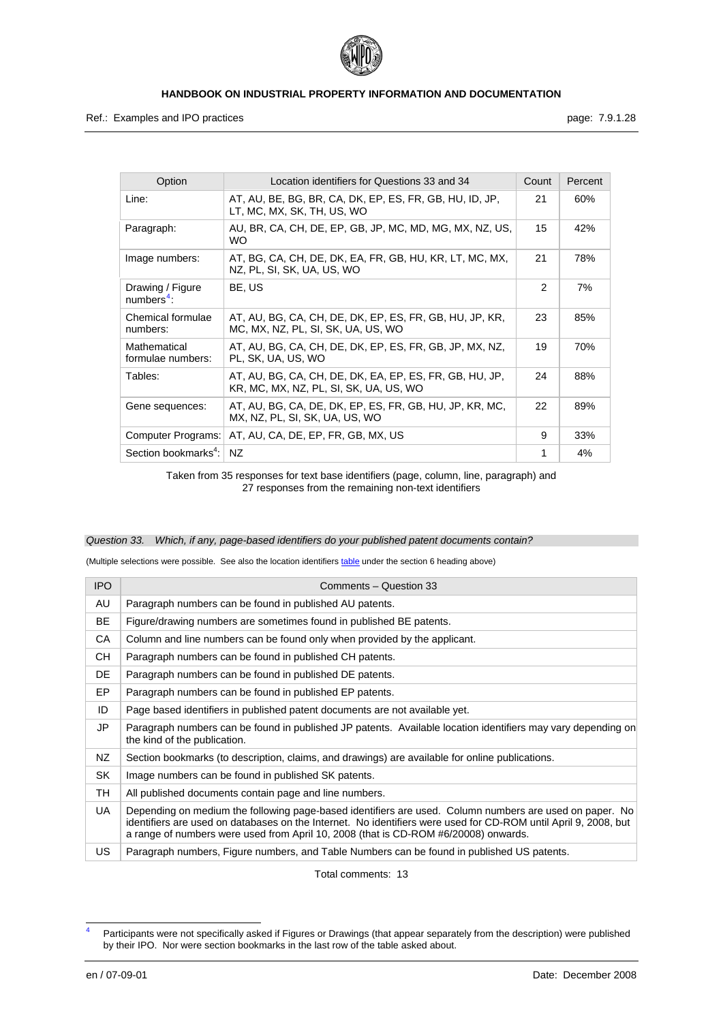

Ref.: Examples and IPO practices **page: 7.9.1.28** page: 7.9.1.28

<span id="page-28-1"></span>

| Option                            | Location identifiers for Questions 33 and 34                                                      | Count         | Percent |
|-----------------------------------|---------------------------------------------------------------------------------------------------|---------------|---------|
| Line:                             | AT, AU, BE, BG, BR, CA, DK, EP, ES, FR, GB, HU, ID, JP,<br>LT, MC, MX, SK, TH, US, WO             | 21            | 60%     |
| Paragraph:                        | AU, BR, CA, CH, DE, EP, GB, JP, MC, MD, MG, MX, NZ, US,<br>WO.                                    | 15            | 42%     |
| Image numbers:                    | AT, BG, CA, CH, DE, DK, EA, FR, GB, HU, KR, LT, MC, MX,<br>NZ, PL, SI, SK, UA, US, WO             | 21            | 78%     |
| Drawing / Figure<br>$numbers4$ :  | BE, US                                                                                            | $\mathcal{P}$ | 7%      |
| Chemical formulae<br>numbers:     | AT, AU, BG, CA, CH, DE, DK, EP, ES, FR, GB, HU, JP, KR,<br>MC, MX, NZ, PL, SI, SK, UA, US, WO     | 23            | 85%     |
| Mathematical<br>formulae numbers: | AT, AU, BG, CA, CH, DE, DK, EP, ES, FR, GB, JP, MX, NZ,<br>PL, SK, UA, US, WO                     | 19            | 70%     |
| Tables:                           | AT, AU, BG, CA, CH, DE, DK, EA, EP, ES, FR, GB, HU, JP,<br>KR, MC, MX, NZ, PL, SI, SK, UA, US, WO | 24            | 88%     |
| Gene sequences:                   | AT, AU, BG, CA, DE, DK, EP, ES, FR, GB, HU, JP, KR, MC,<br>MX, NZ, PL, SI, SK, UA, US, WO         | 22            | 89%     |
| Computer Programs:                | AT, AU, CA, DE, EP, FR, GB, MX, US                                                                | 9             | 33%     |
| Section bookmarks <sup>4</sup> :  | NZ.                                                                                               | 1             | 4%      |

Taken from 35 responses for text base identifiers (page, column, line, paragraph) and 27 responses from the remaining non-text identifiers

#### *Question 33. Which, if any, page-based identifiers do your published patent documents contain?*

(Multiple selections were possible. See also the location identifiers [table](#page-0-0) under the section 6 heading above)

| <b>IPO</b> | Comments - Question 33                                                                                                                                                                                                                                                                                            |
|------------|-------------------------------------------------------------------------------------------------------------------------------------------------------------------------------------------------------------------------------------------------------------------------------------------------------------------|
| AU         | Paragraph numbers can be found in published AU patents.                                                                                                                                                                                                                                                           |
| <b>BE</b>  | Figure/drawing numbers are sometimes found in published BE patents.                                                                                                                                                                                                                                               |
| CA         | Column and line numbers can be found only when provided by the applicant.                                                                                                                                                                                                                                         |
| <b>CH</b>  | Paragraph numbers can be found in published CH patents.                                                                                                                                                                                                                                                           |
| DE         | Paragraph numbers can be found in published DE patents.                                                                                                                                                                                                                                                           |
| EP         | Paragraph numbers can be found in published EP patents.                                                                                                                                                                                                                                                           |
| ID         | Page based identifiers in published patent documents are not available yet.                                                                                                                                                                                                                                       |
| JP         | Paragraph numbers can be found in published JP patents. Available location identifiers may vary depending on<br>the kind of the publication.                                                                                                                                                                      |
| NZ.        | Section bookmarks (to description, claims, and drawings) are available for online publications.                                                                                                                                                                                                                   |
| SK         | Image numbers can be found in published SK patents.                                                                                                                                                                                                                                                               |
| TH.        | All published documents contain page and line numbers.                                                                                                                                                                                                                                                            |
| UA         | Depending on medium the following page-based identifiers are used. Column numbers are used on paper. No<br>identifiers are used on databases on the Internet. No identifiers were used for CD-ROM until April 9, 2008, but<br>a range of numbers were used from April 10, 2008 (that is CD-ROM #6/20008) onwards. |
| US         | Paragraph numbers, Figure numbers, and Table Numbers can be found in published US patents.                                                                                                                                                                                                                        |

Total comments: 13

-

<span id="page-28-0"></span><sup>4</sup> Participants were not specifically asked if Figures or Drawings (that appear separately from the description) were published by their IPO. Nor were section bookmarks in the last row of the table asked about.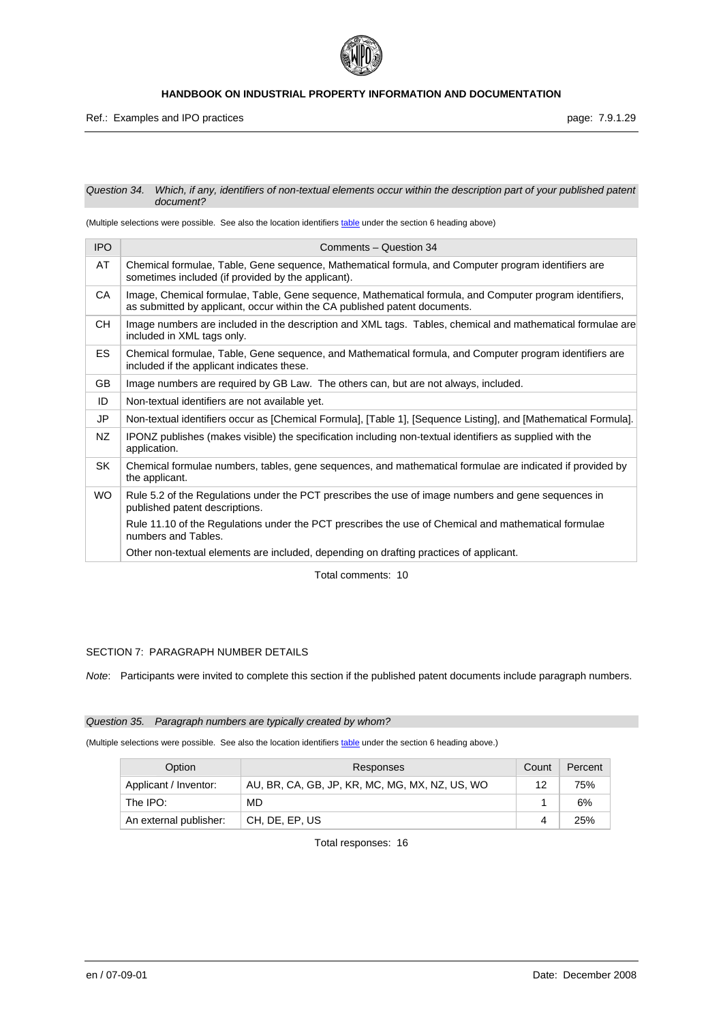

#### *Question 34. Which, if any, identifiers of non-textual elements occur within the description part of your published patent document?*

(Multiple selections were possible. See also the location identifiers [table](#page-0-0) under the section 6 heading above)

| <b>IPO</b> | Comments - Question 34                                                                                                                                                                |
|------------|---------------------------------------------------------------------------------------------------------------------------------------------------------------------------------------|
| AT         | Chemical formulae, Table, Gene sequence, Mathematical formula, and Computer program identifiers are<br>sometimes included (if provided by the applicant).                             |
| CA         | Image, Chemical formulae, Table, Gene sequence, Mathematical formula, and Computer program identifiers,<br>as submitted by applicant, occur within the CA published patent documents. |
| CН         | Image numbers are included in the description and XML tags. Tables, chemical and mathematical formulae are<br>included in XML tags only.                                              |
| <b>ES</b>  | Chemical formulae, Table, Gene sequence, and Mathematical formula, and Computer program identifiers are<br>included if the applicant indicates these.                                 |
| <b>GB</b>  | Image numbers are required by GB Law. The others can, but are not always, included.                                                                                                   |
| ID         | Non-textual identifiers are not available yet.                                                                                                                                        |
| JP         | Non-textual identifiers occur as [Chemical Formula], [Table 1], [Sequence Listing], and [Mathematical Formula].                                                                       |
| NZ         | IPONZ publishes (makes visible) the specification including non-textual identifiers as supplied with the<br>application.                                                              |
| SK         | Chemical formulae numbers, tables, gene sequences, and mathematical formulae are indicated if provided by<br>the applicant.                                                           |
| <b>WO</b>  | Rule 5.2 of the Regulations under the PCT prescribes the use of image numbers and gene sequences in<br>published patent descriptions.                                                 |
|            | Rule 11.10 of the Regulations under the PCT prescribes the use of Chemical and mathematical formulae<br>numbers and Tables.                                                           |
|            | Other non-textual elements are included, depending on drafting practices of applicant.                                                                                                |

Total comments: 10

## SECTION 7: PARAGRAPH NUMBER DETAILS

*Note*: Participants were invited to complete this section if the published patent documents include paragraph numbers.

#### *Question 35. Paragraph numbers are typically created by whom?*

(Multiple selections were possible. See also the location identifiers [table](#page-0-0) under the section 6 heading above.)

| Option                 | Responses                                      |    | Percent |
|------------------------|------------------------------------------------|----|---------|
| Applicant / Inventor:  | AU, BR, CA, GB, JP, KR, MC, MG, MX, NZ, US, WO | 12 | 75%     |
| The IPO:               | MD                                             |    | 6%      |
| An external publisher: | CH, DE, EP, US                                 |    | 25%     |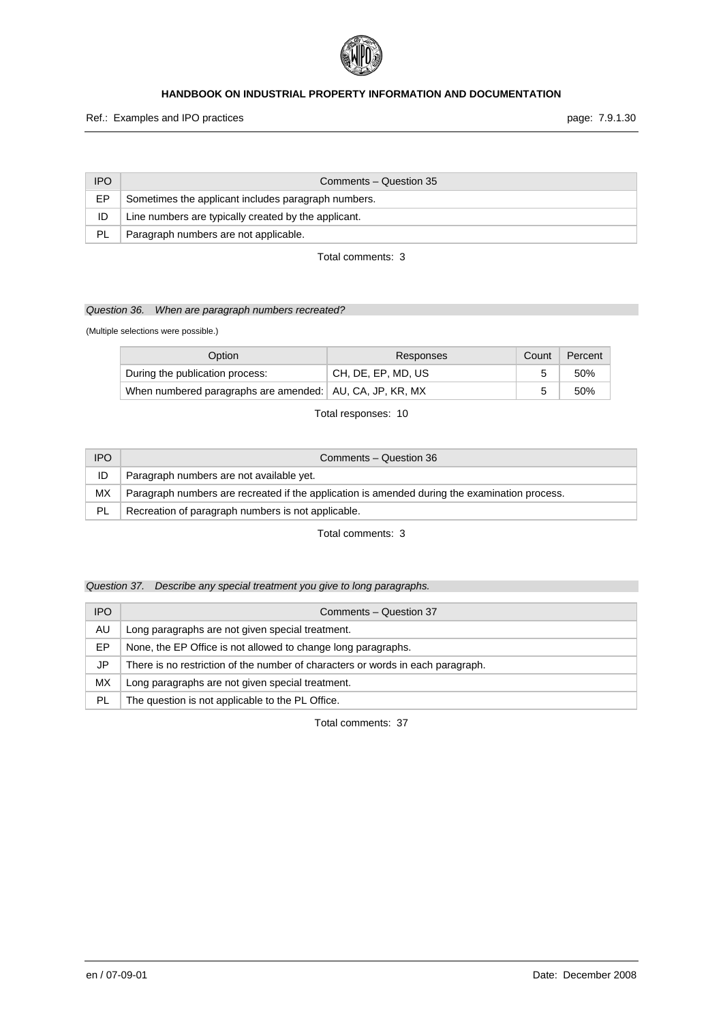

Ref.: Examples and IPO practices **page: 7.9.1.30** page: 7.9.1.30

| IPO.      | Comments - Question 35                               |
|-----------|------------------------------------------------------|
| EP        | Sometimes the applicant includes paragraph numbers.  |
| ID        | Line numbers are typically created by the applicant. |
| <b>PL</b> | Paragraph numbers are not applicable.                |

## Total comments: 3

## *Question 36. When are paragraph numbers recreated?*

(Multiple selections were possible.)

| Option                                                     | Responses          | Count | Percent |
|------------------------------------------------------------|--------------------|-------|---------|
| During the publication process:                            | CH, DE, EP, MD, US |       | 50%     |
| When numbered paragraphs are amended:   AU, CA, JP, KR, MX |                    | 5     | 50%     |

Total responses: 10

| <b>IPO</b> | Comments - Question 36                                                                        |
|------------|-----------------------------------------------------------------------------------------------|
| ID         | Paragraph numbers are not available yet.                                                      |
| МX         | Paragraph numbers are recreated if the application is amended during the examination process. |
| PL         | Recreation of paragraph numbers is not applicable.                                            |

Total comments: 3

## *Question 37. Describe any special treatment you give to long paragraphs.*

| <b>IPO</b> | Comments - Question 37                                                          |
|------------|---------------------------------------------------------------------------------|
| AU         | Long paragraphs are not given special treatment.                                |
| ЕP         | None, the EP Office is not allowed to change long paragraphs.                   |
| JP         | There is no restriction of the number of characters or words in each paragraph. |
| МX         | Long paragraphs are not given special treatment.                                |
| PL         | The question is not applicable to the PL Office.                                |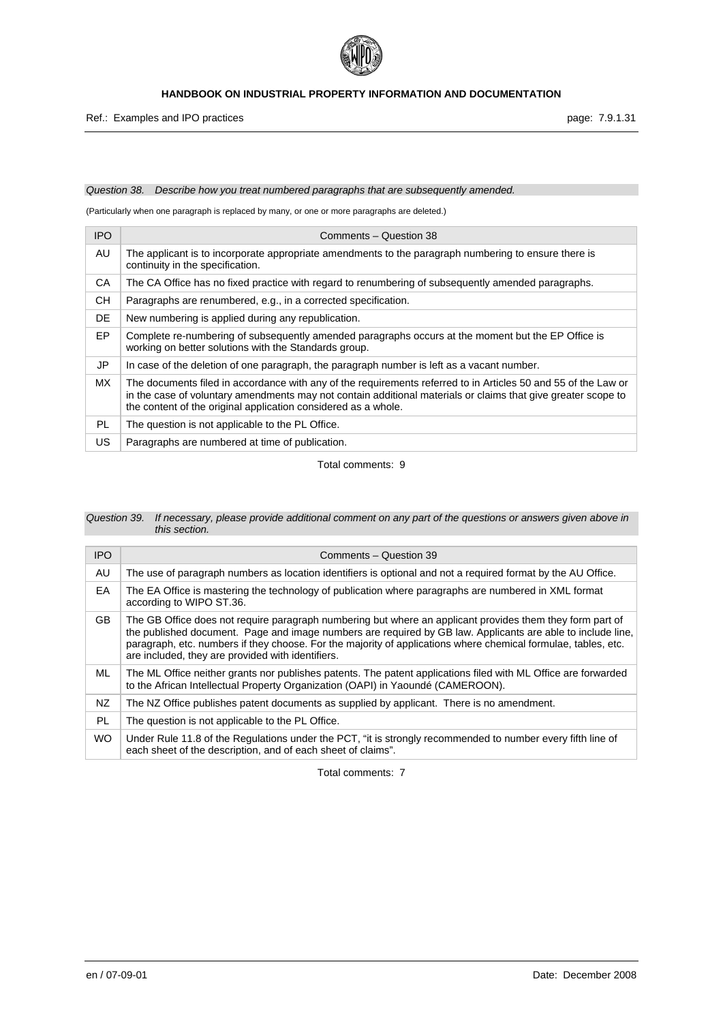

## *Question 38. Describe how you treat numbered paragraphs that are subsequently amended.*

(Particularly when one paragraph is replaced by many, or one or more paragraphs are deleted.)

| <b>IPO</b> | Comments - Question 38                                                                                                                                                                                                                                                                            |
|------------|---------------------------------------------------------------------------------------------------------------------------------------------------------------------------------------------------------------------------------------------------------------------------------------------------|
| AU         | The applicant is to incorporate appropriate amendments to the paragraph numbering to ensure there is<br>continuity in the specification.                                                                                                                                                          |
| CA         | The CA Office has no fixed practice with regard to renumbering of subsequently amended paragraphs.                                                                                                                                                                                                |
| <b>CH</b>  | Paragraphs are renumbered, e.g., in a corrected specification.                                                                                                                                                                                                                                    |
| DE         | New numbering is applied during any republication.                                                                                                                                                                                                                                                |
| EP         | Complete re-numbering of subsequently amended paragraphs occurs at the moment but the EP Office is<br>working on better solutions with the Standards group.                                                                                                                                       |
| JP         | In case of the deletion of one paragraph, the paragraph number is left as a vacant number.                                                                                                                                                                                                        |
| <b>MX</b>  | The documents filed in accordance with any of the requirements referred to in Articles 50 and 55 of the Law or<br>in the case of voluntary amendments may not contain additional materials or claims that give greater scope to<br>the content of the original application considered as a whole. |
| PL.        | The question is not applicable to the PL Office.                                                                                                                                                                                                                                                  |
| <b>US</b>  | Paragraphs are numbered at time of publication.                                                                                                                                                                                                                                                   |

Total comments: 9

| Question 39. If necessary, please provide additional comment on any part of the questions or answers given above in |
|---------------------------------------------------------------------------------------------------------------------|
| this section.                                                                                                       |

| <b>IPO</b> | Comments - Question 39                                                                                                                                                                                                                                                                                                                                                                          |
|------------|-------------------------------------------------------------------------------------------------------------------------------------------------------------------------------------------------------------------------------------------------------------------------------------------------------------------------------------------------------------------------------------------------|
| AU         | The use of paragraph numbers as location identifiers is optional and not a required format by the AU Office.                                                                                                                                                                                                                                                                                    |
| EA         | The EA Office is mastering the technology of publication where paragraphs are numbered in XML format<br>according to WIPO ST.36.                                                                                                                                                                                                                                                                |
| GB.        | The GB Office does not require paragraph numbering but where an applicant provides them they form part of<br>the published document. Page and image numbers are required by GB law. Applicants are able to include line,<br>paragraph, etc. numbers if they choose. For the majority of applications where chemical formulae, tables, etc.<br>are included, they are provided with identifiers. |
| ML         | The ML Office neither grants nor publishes patents. The patent applications filed with ML Office are forwarded<br>to the African Intellectual Property Organization (OAPI) in Yaoundé (CAMEROON).                                                                                                                                                                                               |
| NZ.        | The NZ Office publishes patent documents as supplied by applicant. There is no amendment.                                                                                                                                                                                                                                                                                                       |
| PL         | The question is not applicable to the PL Office.                                                                                                                                                                                                                                                                                                                                                |
| <b>WO</b>  | Under Rule 11.8 of the Regulations under the PCT, "it is strongly recommended to number every fifth line of<br>each sheet of the description, and of each sheet of claims".                                                                                                                                                                                                                     |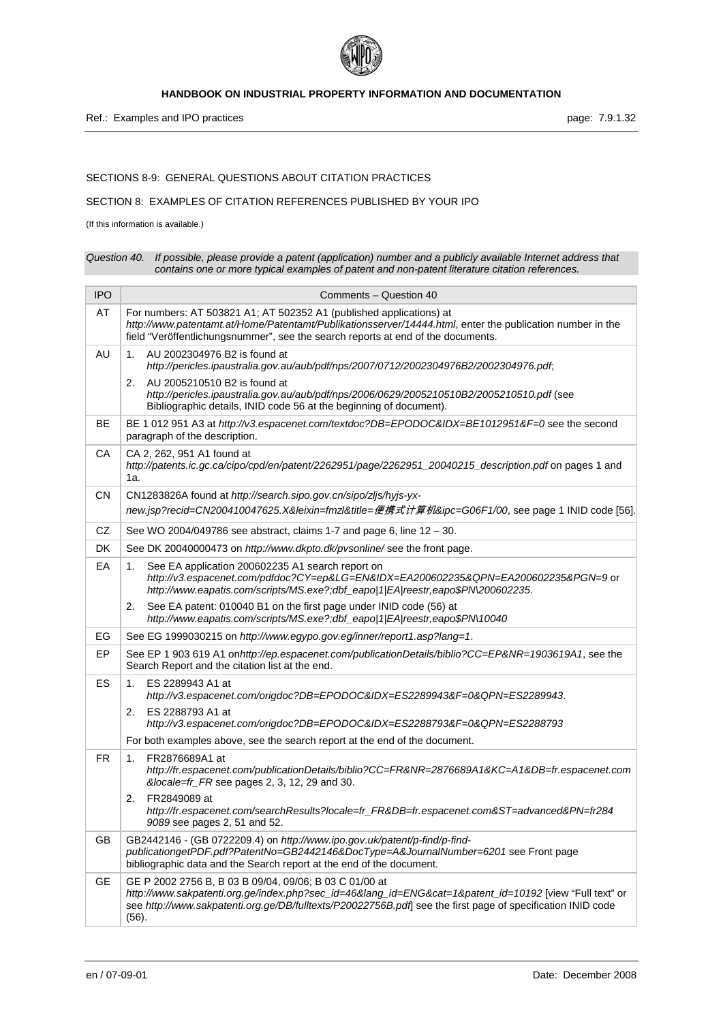

## SECTIONS 8-9: GENERAL QUESTIONS ABOUT CITATION PRACTICES

## SECTION 8: EXAMPLES OF CITATION REFERENCES PUBLISHED BY YOUR IPO

(If this information is available.)

| Question 40. If possible, please provide a patent (application) number and a publicly available Internet address that |
|-----------------------------------------------------------------------------------------------------------------------|
| contains one or more typical examples of patent and non-patent literature citation references.                        |

| <b>IPO</b> | Comments - Question 40                                                                                                                                                                                                                                                                |
|------------|---------------------------------------------------------------------------------------------------------------------------------------------------------------------------------------------------------------------------------------------------------------------------------------|
| AT         | For numbers: AT 503821 A1; AT 502352 A1 (published applications) at<br>http://www.patentamt.at/Home/Patentamt/Publikationsserver/14444.html, enter the publication number in the<br>field "Veröffentlichungsnummer", see the search reports at end of the documents.                  |
| AU         | AU 2002304976 B2 is found at<br>1.<br>http://pericles.ipaustralia.gov.au/aub/pdf/nps/2007/0712/2002304976B2/2002304976.pdf;                                                                                                                                                           |
|            | AU 2005210510 B2 is found at<br>2.<br>http://pericles.ipaustralia.gov.au/aub/pdf/nps/2006/0629/2005210510B2/2005210510.pdf (see<br>Bibliographic details, INID code 56 at the beginning of document).                                                                                 |
| <b>BE</b>  | BE 1 012 951 A3 at http://v3.espacenet.com/textdoc?DB=EPODOC&IDX=BE1012951&F=0 see the second<br>paragraph of the description.                                                                                                                                                        |
| CA         | CA 2, 262, 951 A1 found at<br>http://patents.ic.gc.ca/cipo/cpd/en/patent/2262951/page/2262951_20040215_description.pdf on pages 1 and<br>1a.                                                                                                                                          |
| CΝ         | CN1283826A found at http://search.sipo.gov.cn/sipo/zljs/hyjs-yx-                                                                                                                                                                                                                      |
|            | new.jsp?recid=CN200410047625.X&leixin=fmzl&title=便携式计算机&ipc=G06F1/00, see page 1 INID code [56].                                                                                                                                                                                      |
| CZ         | See WO 2004/049786 see abstract, claims 1-7 and page 6, line $12 - 30$ .                                                                                                                                                                                                              |
| <b>DK</b>  | See DK 20040000473 on http://www.dkpto.dk/pvsonline/see the front page.                                                                                                                                                                                                               |
| EA         | See EA application 200602235 A1 search report on<br>1.<br>http://v3.espacenet.com/pdfdoc?CY=ep&LG=EN&IDX=EA200602235&QPN=EA200602235&PGN=9 or<br>http://www.eapatis.com/scripts/MS.exe?;dbf_eapo 1 EA reestr,eapo\$PN\200602235.                                                      |
|            | See EA patent: 010040 B1 on the first page under INID code (56) at<br>2.<br>http://www.eapatis.com/scripts/MS.exe?;dbf_eapo 1 EA reestr,eapo\$PN\10040                                                                                                                                |
| EG         | See EG 1999030215 on http://www.egypo.gov.eg/inner/report1.asp?lang=1.                                                                                                                                                                                                                |
| EP         | See EP 1 903 619 A1 on http://ep.espacenet.com/publicationDetails/biblio?CC=EP&NR=1903619A1, see the<br>Search Report and the citation list at the end.                                                                                                                               |
| ES         | ES 2289943 A1 at<br>1.<br>http://v3.espacenet.com/origdoc?DB=EPODOC&IDX=ES2289943&F=0&QPN=ES2289943.                                                                                                                                                                                  |
|            | ES 2288793 A1 at<br>2.<br>http://v3.espacenet.com/origdoc?DB=EPODOC&IDX=ES2288793&F=0&QPN=ES2288793                                                                                                                                                                                   |
|            | For both examples above, see the search report at the end of the document.                                                                                                                                                                                                            |
| <b>FR</b>  | FR2876689A1 at<br>1.<br>http://fr.espacenet.com/publicationDetails/biblio?CC=FR&NR=2876689A1&KC=A1&DB=fr.espacenet.com<br>&locale=fr_FR see pages 2, 3, 12, 29 and 30.                                                                                                                |
|            | FR2849089 at<br>2.<br>http://fr.espacenet.com/searchResults?locale=fr_FR&DB=fr.espacenet.com&ST=advanced&PN=fr284<br>9089 see pages 2, 51 and 52.                                                                                                                                     |
| <b>GB</b>  | GB2442146 - (GB 0722209.4) on http://www.ipo.gov.uk/patent/p-find/p-find-<br>publicationgetPDF.pdf?PatentNo=GB2442146&DocType=A&JournalNumber=6201 see Front page<br>bibliographic data and the Search report at the end of the document.                                             |
| GЕ         | GE P 2002 2756 B, B 03 B 09/04, 09/06; B 03 C 01/00 at<br>http://www.sakpatenti.org.ge/index.php?sec_id=46⟨_id=ENG&cat=1&patent_id=10192 [view "Full text" or<br>see http://www.sakpatenti.org.ge/DB/fulltexts/P20022756B.pdf] see the first page of specification INID code<br>(56). |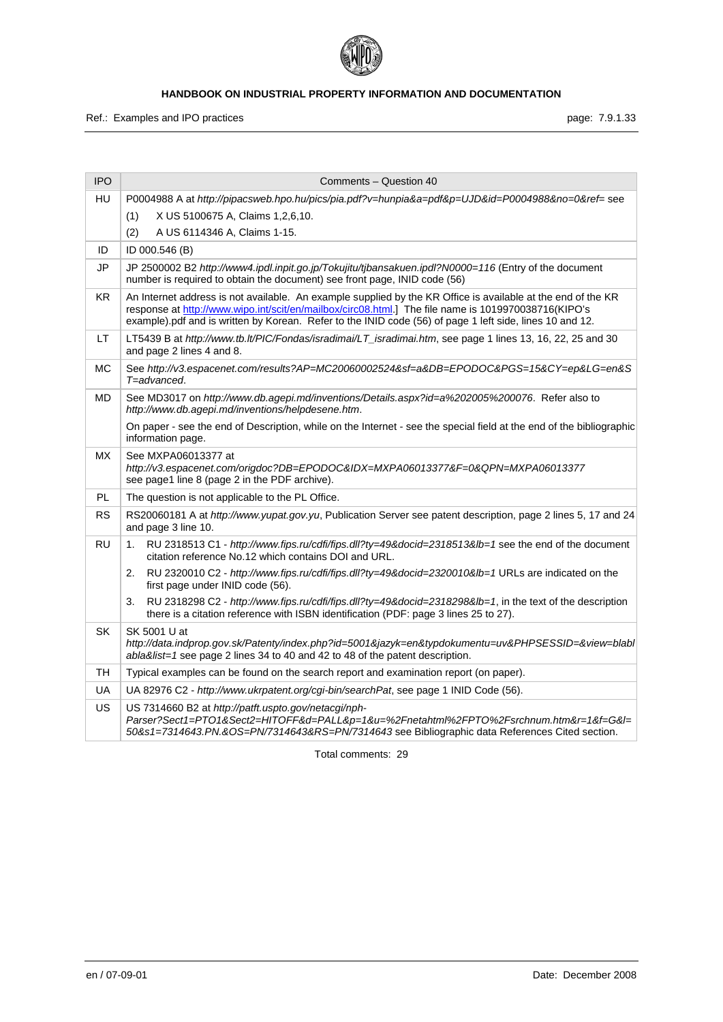

Ref.: Examples and IPO practices **page: 7.9.1.33** page: 7.9.1.33

| <b>IPO</b> | Comments - Question 40                                                                                                                                                                                                                                                                                                          |
|------------|---------------------------------------------------------------------------------------------------------------------------------------------------------------------------------------------------------------------------------------------------------------------------------------------------------------------------------|
| HU         | P0004988 A at http://pipacsweb.hpo.hu/pics/pia.pdf?v=hunpia&a=pdf&p=UJD&id=P0004988&no=0&ref= see<br>X US 5100675 A, Claims 1,2,6,10.<br>(1)<br>(2)<br>A US 6114346 A, Claims 1-15.                                                                                                                                             |
| ID         | ID 000.546 (B)                                                                                                                                                                                                                                                                                                                  |
| JP         | JP 2500002 B2 http://www4.ipdl.inpit.go.jp/Tokujitu/tjbansakuen.ipdl?N0000=116 (Entry of the document<br>number is required to obtain the document) see front page, INID code (56)                                                                                                                                              |
| KR.        | An Internet address is not available. An example supplied by the KR Office is available at the end of the KR<br>response at http://www.wipo.int/scit/en/mailbox/circ08.html.] The file name is 1019970038716(KIPO's<br>example).pdf and is written by Korean. Refer to the INID code (56) of page 1 left side, lines 10 and 12. |
| LT.        | LT5439 B at http://www.tb.lt/PIC/Fondas/isradimai/LT_isradimai.htm, see page 1 lines 13, 16, 22, 25 and 30<br>and page 2 lines 4 and 8.                                                                                                                                                                                         |
| <b>MC</b>  | See http://v3.espacenet.com/results?AP=MC20060002524&sf=a&DB=EPODOC&PGS=15&CY=ep&LG=en&S<br>T=advanced.                                                                                                                                                                                                                         |
| <b>MD</b>  | See MD3017 on http://www.db.agepi.md/inventions/Details.aspx?id=a%202005%200076. Refer also to<br>http://www.db.agepi.md/inventions/helpdesene.htm.                                                                                                                                                                             |
|            | On paper - see the end of Description, while on the Internet - see the special field at the end of the bibliographic<br>information page.                                                                                                                                                                                       |
| <b>MX</b>  | See MXPA06013377 at<br>http://v3.espacenet.com/origdoc?DB=EPODOC&IDX=MXPA06013377&F=0&QPN=MXPA06013377<br>see page1 line 8 (page 2 in the PDF archive).                                                                                                                                                                         |
| PL.        | The question is not applicable to the PL Office.                                                                                                                                                                                                                                                                                |
| <b>RS</b>  | RS20060181 A at http://www.yupat.gov.yu, Publication Server see patent description, page 2 lines 5, 17 and 24<br>and page 3 line 10.                                                                                                                                                                                            |
| <b>RU</b>  | RU 2318513 C1 - http://www.fips.ru/cdfi/fips.dll?ty=49&docid=2318513&lb=1 see the end of the document<br>1.<br>citation reference No.12 which contains DOI and URL.                                                                                                                                                             |
|            | RU 2320010 C2 - http://www.fips.ru/cdfi/fips.dll?ty=49&docid=2320010&lb=1 URLs are indicated on the<br>2.<br>first page under INID code (56).                                                                                                                                                                                   |
|            | RU 2318298 C2 - http://www.fips.ru/cdfi/fips.dll?ty=49&docid=2318298&lb=1, in the text of the description<br>3.<br>there is a citation reference with ISBN identification (PDF: page 3 lines 25 to 27).                                                                                                                         |
| <b>SK</b>  | SK 5001 U at<br>http://data.indprop.gov.sk/Patenty/index.php?id=5001&jazyk=en&typdokumentu=uv&PHPSESSID=&view=blabl<br>abla&list=1 see page 2 lines 34 to 40 and 42 to 48 of the patent description.                                                                                                                            |
| TH         | Typical examples can be found on the search report and examination report (on paper).                                                                                                                                                                                                                                           |
| <b>UA</b>  | UA 82976 C2 - http://www.ukrpatent.org/cgi-bin/searchPat, see page 1 INID Code (56).                                                                                                                                                                                                                                            |
| US         | US 7314660 B2 at http://patft.uspto.gov/netacgi/nph-<br>Parser?Sect1=PTO1&Sect2=HITOFF&d=PALL&p=1&u=%2Fnetahtml%2FPTO%2Fsrchnum.htm&r=1&f=G&l=<br>50&s1=7314643.PN.&OS=PN/7314643&RS=PN/7314643 see Bibliographic data References Cited section.                                                                                |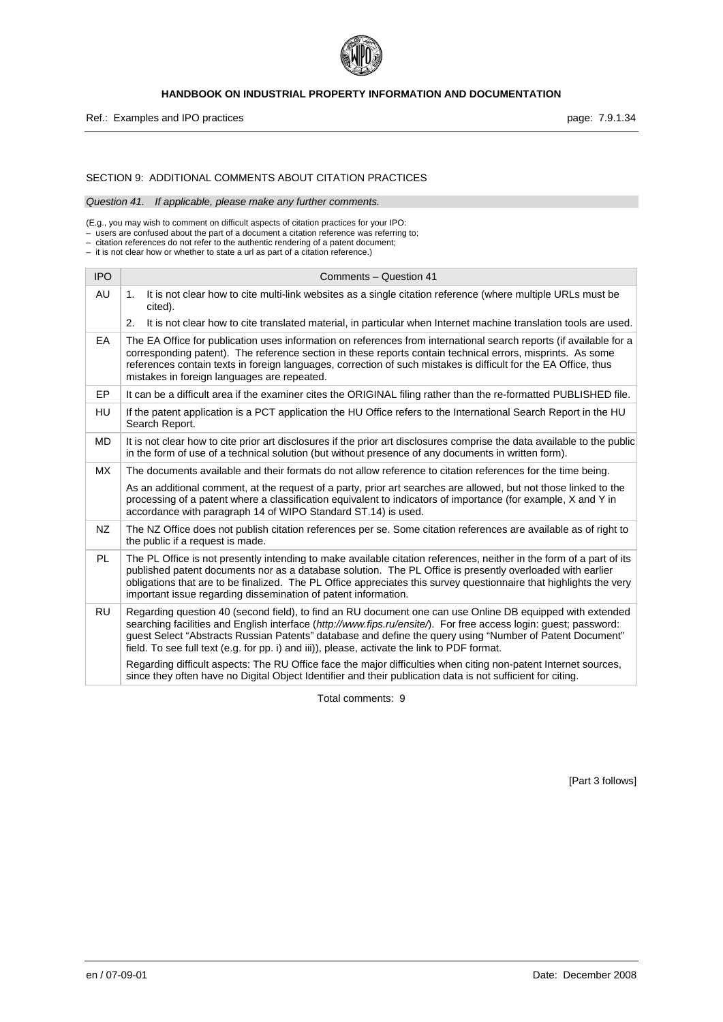

Ref.: Examples and IPO practices **page: 7.9.1.34** Page: 7.9.1.34

## SECTION 9: ADDITIONAL COMMENTS ABOUT CITATION PRACTICES

*Question 41. If applicable, please make any further comments.* 

(E.g., you may wish to comment on difficult aspects of citation practices for your IPO: – users are confused about the part of a document a citation reference was referring to;

– citation references do not refer to the authentic rendering of a patent document; – it is not clear how or whether to state a url as part of a citation reference.)

| <b>IPO</b> | Comments - Question 41                                                                                                                                                                                                                                                                                                                                                                                                                    |
|------------|-------------------------------------------------------------------------------------------------------------------------------------------------------------------------------------------------------------------------------------------------------------------------------------------------------------------------------------------------------------------------------------------------------------------------------------------|
| AU         | It is not clear how to cite multi-link websites as a single citation reference (where multiple URLs must be<br>1.<br>cited).                                                                                                                                                                                                                                                                                                              |
|            | 2.<br>It is not clear how to cite translated material, in particular when Internet machine translation tools are used.                                                                                                                                                                                                                                                                                                                    |
| EA         | The EA Office for publication uses information on references from international search reports (if available for a<br>corresponding patent). The reference section in these reports contain technical errors, misprints. As some<br>references contain texts in foreign languages, correction of such mistakes is difficult for the EA Office, thus<br>mistakes in foreign languages are repeated.                                        |
| EP         | It can be a difficult area if the examiner cites the ORIGINAL filing rather than the re-formatted PUBLISHED file.                                                                                                                                                                                                                                                                                                                         |
| HU         | If the patent application is a PCT application the HU Office refers to the International Search Report in the HU<br>Search Report.                                                                                                                                                                                                                                                                                                        |
| MD         | It is not clear how to cite prior art disclosures if the prior art disclosures comprise the data available to the public<br>in the form of use of a technical solution (but without presence of any documents in written form).                                                                                                                                                                                                           |
| <b>MX</b>  | The documents available and their formats do not allow reference to citation references for the time being.                                                                                                                                                                                                                                                                                                                               |
|            | As an additional comment, at the request of a party, prior art searches are allowed, but not those linked to the<br>processing of a patent where a classification equivalent to indicators of importance (for example, X and Y in<br>accordance with paragraph 14 of WIPO Standard ST.14) is used.                                                                                                                                        |
| <b>NZ</b>  | The NZ Office does not publish citation references per se. Some citation references are available as of right to<br>the public if a request is made.                                                                                                                                                                                                                                                                                      |
| PL         | The PL Office is not presently intending to make available citation references, neither in the form of a part of its<br>published patent documents nor as a database solution. The PL Office is presently overloaded with earlier<br>obligations that are to be finalized. The PL Office appreciates this survey questionnaire that highlights the very<br>important issue regarding dissemination of patent information.                 |
| <b>RU</b>  | Regarding question 40 (second field), to find an RU document one can use Online DB equipped with extended<br>searching facilities and English interface (http://www.fips.ru/ensite/). For free access login: guest; password:<br>guest Select "Abstracts Russian Patents" database and define the query using "Number of Patent Document"<br>field. To see full text (e.g. for pp. i) and iii)), please, activate the link to PDF format. |
|            | Regarding difficult aspects: The RU Office face the major difficulties when citing non-patent Internet sources,<br>since they often have no Digital Object Identifier and their publication data is not sufficient for citing.                                                                                                                                                                                                            |

Total comments: 9

[Part 3 follows]